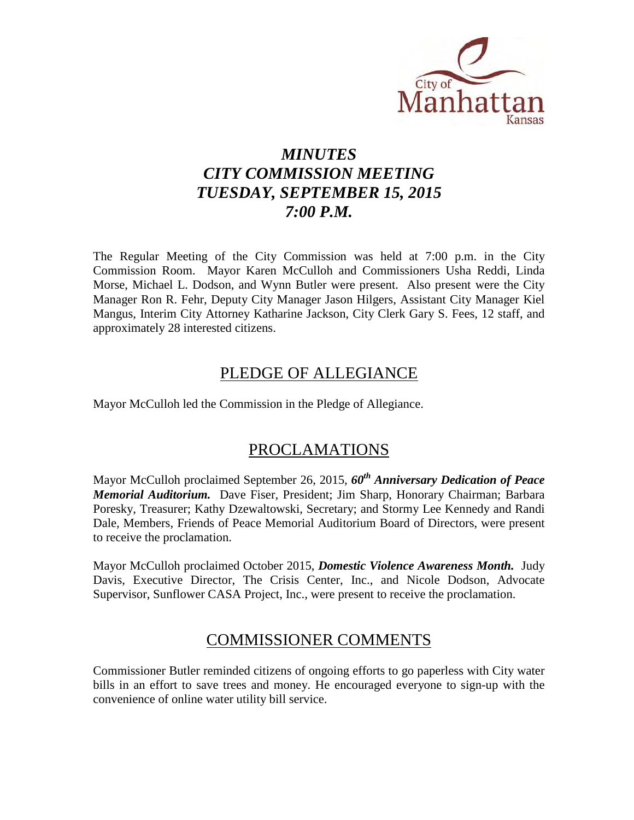

# *MINUTES CITY COMMISSION MEETING TUESDAY, SEPTEMBER 15, 2015 7:00 P.M.*

The Regular Meeting of the City Commission was held at 7:00 p.m. in the City Commission Room. Mayor Karen McCulloh and Commissioners Usha Reddi, Linda Morse, Michael L. Dodson, and Wynn Butler were present. Also present were the City Manager Ron R. Fehr, Deputy City Manager Jason Hilgers, Assistant City Manager Kiel Mangus, Interim City Attorney Katharine Jackson, City Clerk Gary S. Fees, 12 staff, and approximately 28 interested citizens.

## PLEDGE OF ALLEGIANCE

Mayor McCulloh led the Commission in the Pledge of Allegiance.

## PROCLAMATIONS

Mayor McCulloh proclaimed September 26, 2015, *60th Anniversary Dedication of Peace Memorial Auditorium.* Dave Fiser, President; Jim Sharp, Honorary Chairman; Barbara Poresky, Treasurer; Kathy Dzewaltowski, Secretary; and Stormy Lee Kennedy and Randi Dale, Members, Friends of Peace Memorial Auditorium Board of Directors, were present to receive the proclamation.

Mayor McCulloh proclaimed October 2015, *Domestic Violence Awareness Month.* Judy Davis, Executive Director, The Crisis Center, Inc., and Nicole Dodson, Advocate Supervisor, Sunflower CASA Project, Inc., were present to receive the proclamation.

## COMMISSIONER COMMENTS

Commissioner Butler reminded citizens of ongoing efforts to go paperless with City water bills in an effort to save trees and money. He encouraged everyone to sign-up with the convenience of online water utility bill service.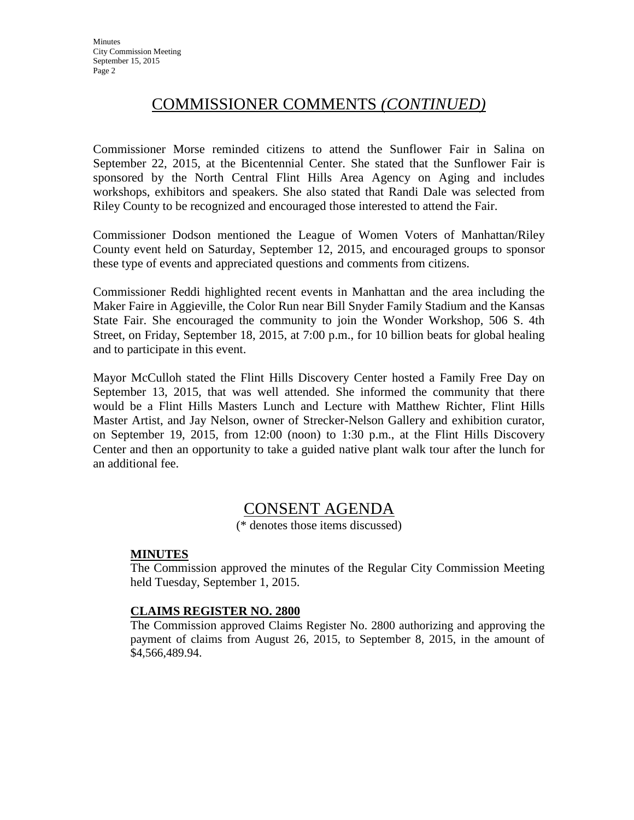## COMMISSIONER COMMENTS *(CONTINUED)*

Commissioner Morse reminded citizens to attend the Sunflower Fair in Salina on September 22, 2015, at the Bicentennial Center. She stated that the Sunflower Fair is sponsored by the North Central Flint Hills Area Agency on Aging and includes workshops, exhibitors and speakers. She also stated that Randi Dale was selected from Riley County to be recognized and encouraged those interested to attend the Fair.

Commissioner Dodson mentioned the League of Women Voters of Manhattan/Riley County event held on Saturday, September 12, 2015, and encouraged groups to sponsor these type of events and appreciated questions and comments from citizens.

Commissioner Reddi highlighted recent events in Manhattan and the area including the Maker Faire in Aggieville, the Color Run near Bill Snyder Family Stadium and the Kansas State Fair. She encouraged the community to join the Wonder Workshop, 506 S. 4th Street, on Friday, September 18, 2015, at 7:00 p.m., for 10 billion beats for global healing and to participate in this event.

Mayor McCulloh stated the Flint Hills Discovery Center hosted a Family Free Day on September 13, 2015, that was well attended. She informed the community that there would be a Flint Hills Masters Lunch and Lecture with Matthew Richter, Flint Hills Master Artist, and Jay Nelson, owner of Strecker-Nelson Gallery and exhibition curator, on September 19, 2015, from 12:00 (noon) to 1:30 p.m., at the Flint Hills Discovery Center and then an opportunity to take a guided native plant walk tour after the lunch for an additional fee.

## CONSENT AGENDA

(\* denotes those items discussed)

#### **MINUTES**

The Commission approved the minutes of the Regular City Commission Meeting held Tuesday, September 1, 2015.

#### **CLAIMS REGISTER NO. 2800**

The Commission approved Claims Register No. 2800 authorizing and approving the payment of claims from August 26, 2015, to September 8, 2015, in the amount of \$4,566,489.94.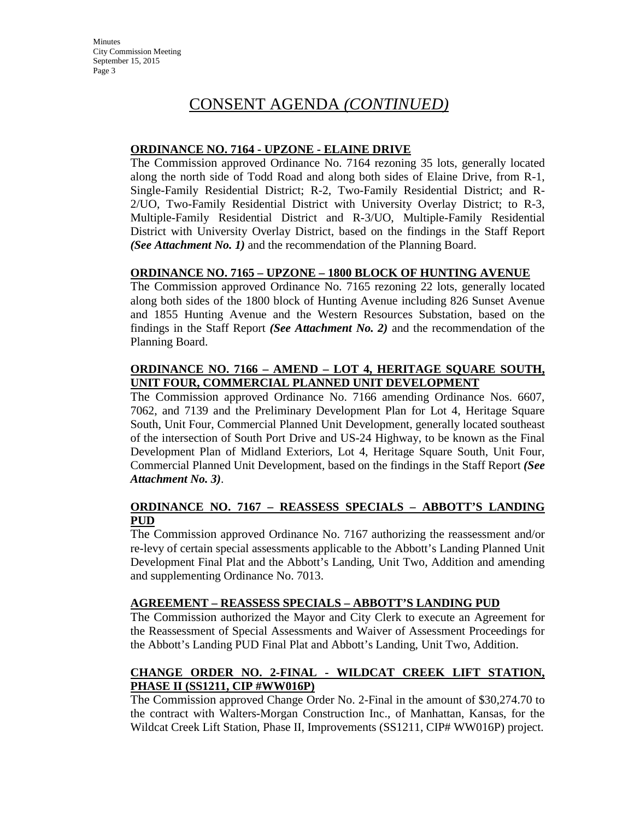#### **ORDINANCE NO. 7164 - UPZONE - ELAINE DRIVE**

The Commission approved Ordinance No. 7164 rezoning 35 lots, generally located along the north side of Todd Road and along both sides of Elaine Drive, from R-1, Single-Family Residential District; R-2, Two-Family Residential District; and R-2/UO, Two-Family Residential District with University Overlay District; to R-3, Multiple-Family Residential District and R-3/UO, Multiple-Family Residential District with University Overlay District, based on the findings in the Staff Report *(See Attachment No. 1)* and the recommendation of the Planning Board.

#### **ORDINANCE NO. 7165 – UPZONE – 1800 BLOCK OF HUNTING AVENUE**

The Commission approved Ordinance No. 7165 rezoning 22 lots, generally located along both sides of the 1800 block of Hunting Avenue including 826 Sunset Avenue and 1855 Hunting Avenue and the Western Resources Substation, based on the findings in the Staff Report *(See Attachment No. 2)* and the recommendation of the Planning Board.

#### **ORDINANCE NO. 7166 – AMEND – LOT 4, HERITAGE SQUARE SOUTH, UNIT FOUR, COMMERCIAL PLANNED UNIT DEVELOPMENT**

The Commission approved Ordinance No. 7166 amending Ordinance Nos. 6607, 7062, and 7139 and the Preliminary Development Plan for Lot 4, Heritage Square South, Unit Four, Commercial Planned Unit Development, generally located southeast of the intersection of South Port Drive and US-24 Highway, to be known as the Final Development Plan of Midland Exteriors, Lot 4, Heritage Square South, Unit Four, Commercial Planned Unit Development, based on the findings in the Staff Report *(See Attachment No. 3)*.

#### **ORDINANCE NO. 7167 – REASSESS SPECIALS – ABBOTT'S LANDING PUD**

The Commission approved Ordinance No. 7167 authorizing the reassessment and/or re-levy of certain special assessments applicable to the Abbott's Landing Planned Unit Development Final Plat and the Abbott's Landing, Unit Two, Addition and amending and supplementing Ordinance No. 7013.

#### **AGREEMENT – REASSESS SPECIALS – ABBOTT'S LANDING PUD**

The Commission authorized the Mayor and City Clerk to execute an Agreement for the Reassessment of Special Assessments and Waiver of Assessment Proceedings for the Abbott's Landing PUD Final Plat and Abbott's Landing, Unit Two, Addition.

#### **CHANGE ORDER NO. 2-FINAL - WILDCAT CREEK LIFT STATION, PHASE II (SS1211, CIP #WW016P)**

The Commission approved Change Order No. 2-Final in the amount of \$30,274.70 to the contract with Walters-Morgan Construction Inc., of Manhattan, Kansas, for the Wildcat Creek Lift Station, Phase II, Improvements (SS1211, CIP# WW016P) project.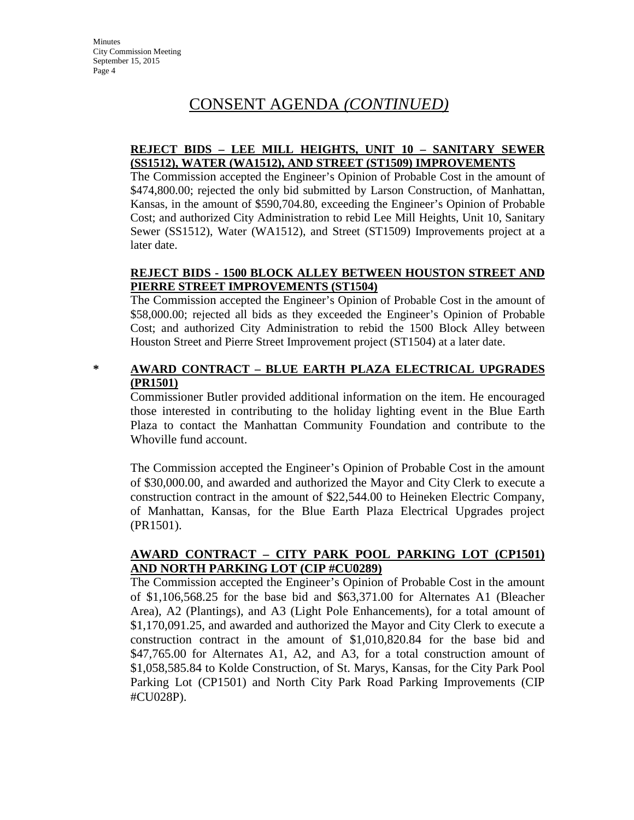#### **REJECT BIDS – LEE MILL HEIGHTS, UNIT 10 – SANITARY SEWER (SS1512), WATER (WA1512), AND STREET (ST1509) IMPROVEMENTS**

The Commission accepted the Engineer's Opinion of Probable Cost in the amount of \$474,800.00; rejected the only bid submitted by Larson Construction, of Manhattan, Kansas, in the amount of \$590,704.80, exceeding the Engineer's Opinion of Probable Cost; and authorized City Administration to rebid Lee Mill Heights, Unit 10, Sanitary Sewer (SS1512), Water (WA1512), and Street (ST1509) Improvements project at a later date.

#### **REJECT BIDS - 1500 BLOCK ALLEY BETWEEN HOUSTON STREET AND PIERRE STREET IMPROVEMENTS (ST1504)**

The Commission accepted the Engineer's Opinion of Probable Cost in the amount of \$58,000.00; rejected all bids as they exceeded the Engineer's Opinion of Probable Cost; and authorized City Administration to rebid the 1500 Block Alley between Houston Street and Pierre Street Improvement project (ST1504) at a later date.

#### **\* AWARD CONTRACT – BLUE EARTH PLAZA ELECTRICAL UPGRADES (PR1501)**

Commissioner Butler provided additional information on the item. He encouraged those interested in contributing to the holiday lighting event in the Blue Earth Plaza to contact the Manhattan Community Foundation and contribute to the Whoville fund account.

The Commission accepted the Engineer's Opinion of Probable Cost in the amount of \$30,000.00, and awarded and authorized the Mayor and City Clerk to execute a construction contract in the amount of \$22,544.00 to Heineken Electric Company, of Manhattan, Kansas, for the Blue Earth Plaza Electrical Upgrades project (PR1501).

#### **AWARD CONTRACT – CITY PARK POOL PARKING LOT (CP1501) AND NORTH PARKING LOT (CIP #CU0289)**

The Commission accepted the Engineer's Opinion of Probable Cost in the amount of \$1,106,568.25 for the base bid and \$63,371.00 for Alternates A1 (Bleacher Area), A2 (Plantings), and A3 (Light Pole Enhancements), for a total amount of \$1,170,091.25, and awarded and authorized the Mayor and City Clerk to execute a construction contract in the amount of \$1,010,820.84 for the base bid and \$47,765.00 for Alternates A1, A2, and A3, for a total construction amount of \$1,058,585.84 to Kolde Construction, of St. Marys, Kansas, for the City Park Pool Parking Lot (CP1501) and North City Park Road Parking Improvements (CIP #CU028P).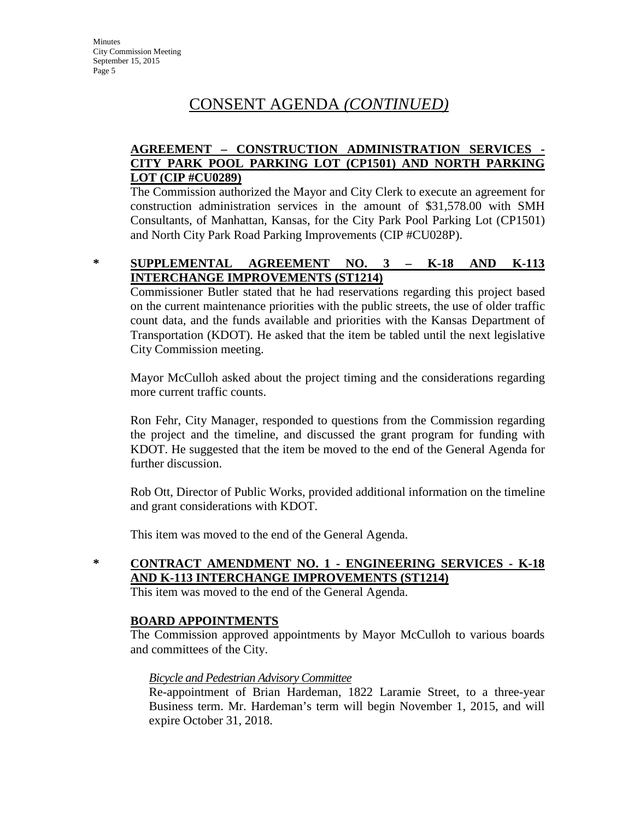#### **AGREEMENT – CONSTRUCTION ADMINISTRATION SERVICES - CITY PARK POOL PARKING LOT (CP1501) AND NORTH PARKING LOT (CIP #CU0289)**

The Commission authorized the Mayor and City Clerk to execute an agreement for construction administration services in the amount of \$31,578.00 with SMH Consultants, of Manhattan, Kansas, for the City Park Pool Parking Lot (CP1501) and North City Park Road Parking Improvements (CIP #CU028P).

#### **\* SUPPLEMENTAL AGREEMENT NO. 3 – K-18 AND K-113 INTERCHANGE IMPROVEMENTS (ST1214)**

Commissioner Butler stated that he had reservations regarding this project based on the current maintenance priorities with the public streets, the use of older traffic count data, and the funds available and priorities with the Kansas Department of Transportation (KDOT). He asked that the item be tabled until the next legislative City Commission meeting.

Mayor McCulloh asked about the project timing and the considerations regarding more current traffic counts.

Ron Fehr, City Manager, responded to questions from the Commission regarding the project and the timeline, and discussed the grant program for funding with KDOT. He suggested that the item be moved to the end of the General Agenda for further discussion.

Rob Ott, Director of Public Works, provided additional information on the timeline and grant considerations with KDOT.

This item was moved to the end of the General Agenda.

## **\* CONTRACT AMENDMENT NO. 1 - ENGINEERING SERVICES - K-18 AND K-113 INTERCHANGE IMPROVEMENTS (ST1214)**

This item was moved to the end of the General Agenda.

#### **BOARD APPOINTMENTS**

The Commission approved appointments by Mayor McCulloh to various boards and committees of the City.

#### *Bicycle and Pedestrian Advisory Committee*

Re-appointment of Brian Hardeman, 1822 Laramie Street, to a three-year Business term. Mr. Hardeman's term will begin November 1, 2015, and will expire October 31, 2018.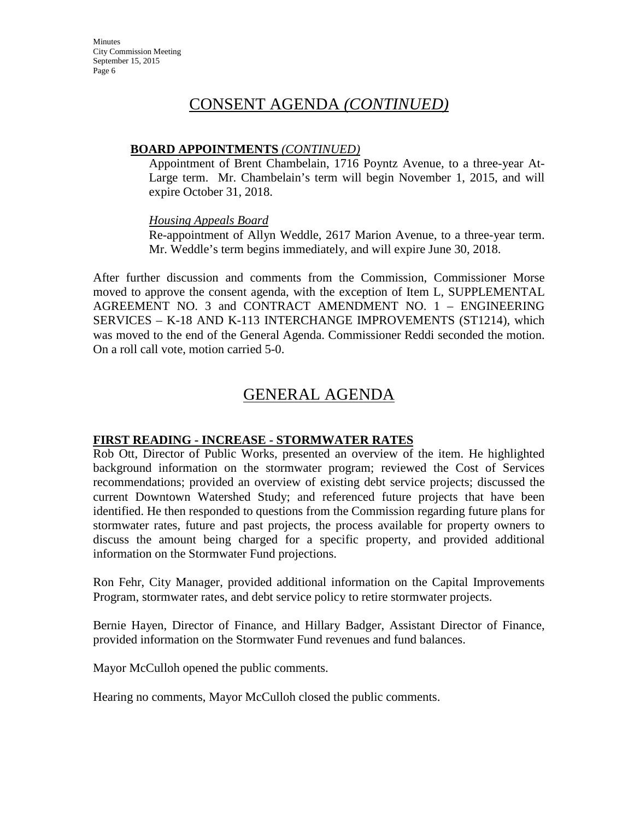#### **BOARD APPOINTMENTS** *(CONTINUED)*

Appointment of Brent Chambelain, 1716 Poyntz Avenue, to a three-year At-Large term. Mr. Chambelain's term will begin November 1, 2015, and will expire October 31, 2018.

#### *Housing Appeals Board*

Re-appointment of Allyn Weddle, 2617 Marion Avenue, to a three-year term. Mr. Weddle's term begins immediately, and will expire June 30, 2018.

After further discussion and comments from the Commission, Commissioner Morse moved to approve the consent agenda, with the exception of Item L, SUPPLEMENTAL AGREEMENT NO. 3 and CONTRACT AMENDMENT NO. 1 – ENGINEERING SERVICES – K-18 AND K-113 INTERCHANGE IMPROVEMENTS (ST1214), which was moved to the end of the General Agenda. Commissioner Reddi seconded the motion. On a roll call vote, motion carried 5-0.

## GENERAL AGENDA

#### **FIRST READING - INCREASE - STORMWATER RATES**

Rob Ott, Director of Public Works, presented an overview of the item. He highlighted background information on the stormwater program; reviewed the Cost of Services recommendations; provided an overview of existing debt service projects; discussed the current Downtown Watershed Study; and referenced future projects that have been identified. He then responded to questions from the Commission regarding future plans for stormwater rates, future and past projects, the process available for property owners to discuss the amount being charged for a specific property, and provided additional information on the Stormwater Fund projections.

Ron Fehr, City Manager, provided additional information on the Capital Improvements Program, stormwater rates, and debt service policy to retire stormwater projects.

Bernie Hayen, Director of Finance, and Hillary Badger, Assistant Director of Finance, provided information on the Stormwater Fund revenues and fund balances.

Mayor McCulloh opened the public comments.

Hearing no comments, Mayor McCulloh closed the public comments.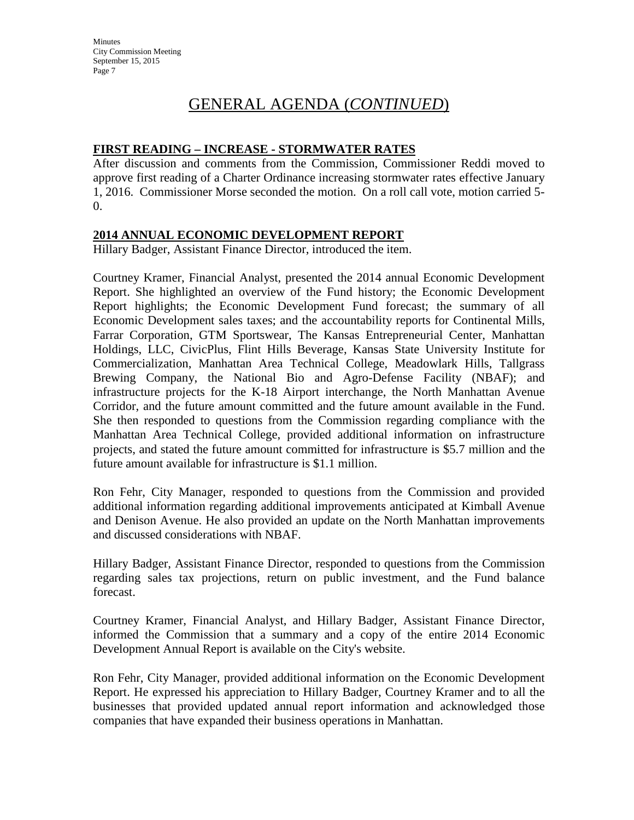# GENERAL AGENDA (*CONTINUED*)

#### **FIRST READING – INCREASE - STORMWATER RATES**

After discussion and comments from the Commission, Commissioner Reddi moved to approve first reading of a Charter Ordinance increasing stormwater rates effective January 1, 2016. Commissioner Morse seconded the motion. On a roll call vote, motion carried 5- 0.

#### **2014 ANNUAL ECONOMIC DEVELOPMENT REPORT**

Hillary Badger, Assistant Finance Director, introduced the item.

Courtney Kramer, Financial Analyst, presented the 2014 annual Economic Development Report. She highlighted an overview of the Fund history; the Economic Development Report highlights; the Economic Development Fund forecast; the summary of all Economic Development sales taxes; and the accountability reports for Continental Mills, Farrar Corporation, GTM Sportswear, The Kansas Entrepreneurial Center, Manhattan Holdings, LLC, CivicPlus, Flint Hills Beverage, Kansas State University Institute for Commercialization, Manhattan Area Technical College, Meadowlark Hills, Tallgrass Brewing Company, the National Bio and Agro-Defense Facility (NBAF); and infrastructure projects for the K-18 Airport interchange, the North Manhattan Avenue Corridor, and the future amount committed and the future amount available in the Fund. She then responded to questions from the Commission regarding compliance with the Manhattan Area Technical College, provided additional information on infrastructure projects, and stated the future amount committed for infrastructure is \$5.7 million and the future amount available for infrastructure is \$1.1 million.

Ron Fehr, City Manager, responded to questions from the Commission and provided additional information regarding additional improvements anticipated at Kimball Avenue and Denison Avenue. He also provided an update on the North Manhattan improvements and discussed considerations with NBAF.

Hillary Badger, Assistant Finance Director, responded to questions from the Commission regarding sales tax projections, return on public investment, and the Fund balance forecast.

Courtney Kramer, Financial Analyst, and Hillary Badger, Assistant Finance Director, informed the Commission that a summary and a copy of the entire 2014 Economic Development Annual Report is available on the City's website.

Ron Fehr, City Manager, provided additional information on the Economic Development Report. He expressed his appreciation to Hillary Badger, Courtney Kramer and to all the businesses that provided updated annual report information and acknowledged those companies that have expanded their business operations in Manhattan.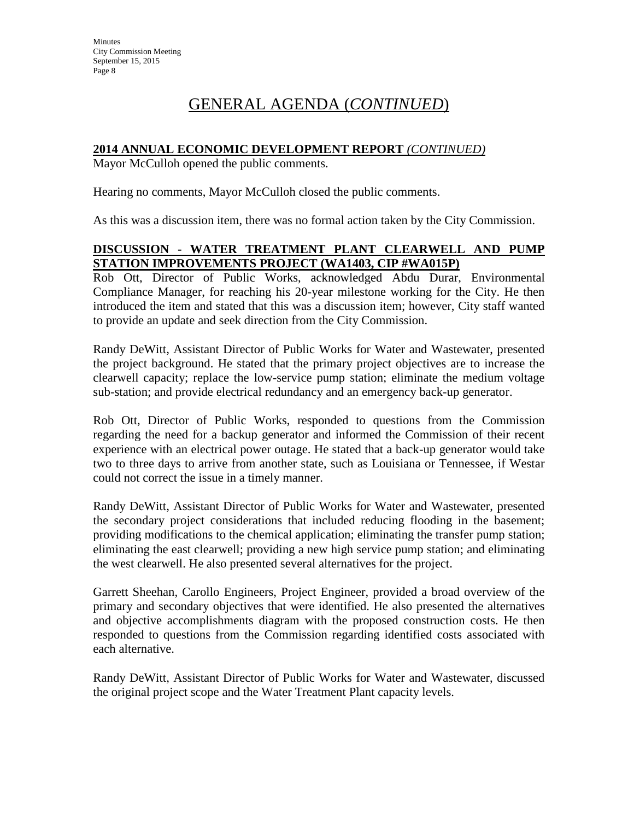# GENERAL AGENDA (*CONTINUED*)

#### **2014 ANNUAL ECONOMIC DEVELOPMENT REPORT** *(CONTINUED)*

Mayor McCulloh opened the public comments.

Hearing no comments, Mayor McCulloh closed the public comments.

As this was a discussion item, there was no formal action taken by the City Commission.

#### **DISCUSSION - WATER TREATMENT PLANT CLEARWELL AND PUMP STATION IMPROVEMENTS PROJECT (WA1403, CIP #WA015P)**

Rob Ott, Director of Public Works, acknowledged Abdu Durar, Environmental Compliance Manager, for reaching his 20-year milestone working for the City. He then introduced the item and stated that this was a discussion item; however, City staff wanted to provide an update and seek direction from the City Commission.

Randy DeWitt, Assistant Director of Public Works for Water and Wastewater, presented the project background. He stated that the primary project objectives are to increase the clearwell capacity; replace the low-service pump station; eliminate the medium voltage sub-station; and provide electrical redundancy and an emergency back-up generator.

Rob Ott, Director of Public Works, responded to questions from the Commission regarding the need for a backup generator and informed the Commission of their recent experience with an electrical power outage. He stated that a back-up generator would take two to three days to arrive from another state, such as Louisiana or Tennessee, if Westar could not correct the issue in a timely manner.

Randy DeWitt, Assistant Director of Public Works for Water and Wastewater, presented the secondary project considerations that included reducing flooding in the basement; providing modifications to the chemical application; eliminating the transfer pump station; eliminating the east clearwell; providing a new high service pump station; and eliminating the west clearwell. He also presented several alternatives for the project.

Garrett Sheehan, Carollo Engineers, Project Engineer, provided a broad overview of the primary and secondary objectives that were identified. He also presented the alternatives and objective accomplishments diagram with the proposed construction costs. He then responded to questions from the Commission regarding identified costs associated with each alternative.

Randy DeWitt, Assistant Director of Public Works for Water and Wastewater, discussed the original project scope and the Water Treatment Plant capacity levels.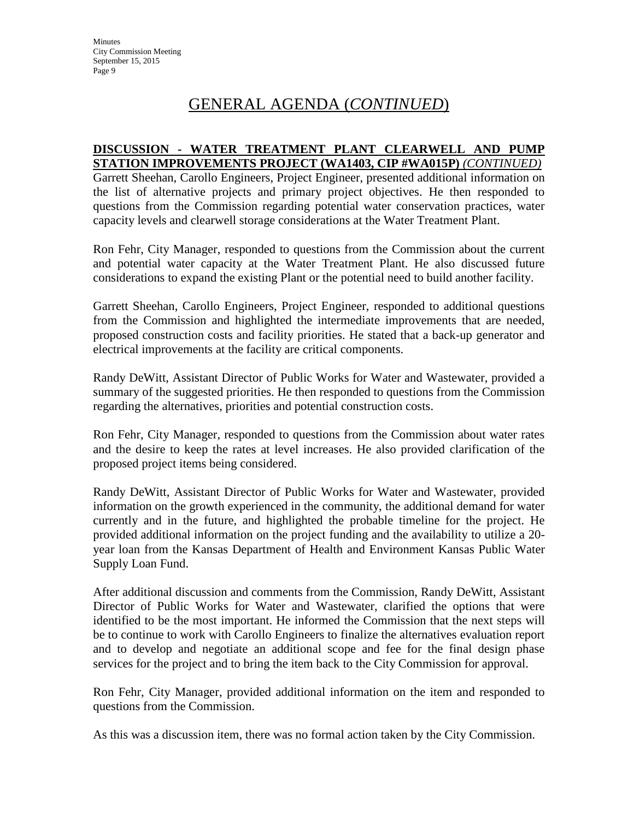## GENERAL AGENDA (*CONTINUED*)

#### **DISCUSSION - WATER TREATMENT PLANT CLEARWELL AND PUMP STATION IMPROVEMENTS PROJECT (WA1403, CIP #WA015P)** *(CONTINUED)*

Garrett Sheehan, Carollo Engineers, Project Engineer, presented additional information on the list of alternative projects and primary project objectives. He then responded to questions from the Commission regarding potential water conservation practices, water capacity levels and clearwell storage considerations at the Water Treatment Plant.

Ron Fehr, City Manager, responded to questions from the Commission about the current and potential water capacity at the Water Treatment Plant. He also discussed future considerations to expand the existing Plant or the potential need to build another facility.

Garrett Sheehan, Carollo Engineers, Project Engineer, responded to additional questions from the Commission and highlighted the intermediate improvements that are needed, proposed construction costs and facility priorities. He stated that a back-up generator and electrical improvements at the facility are critical components.

Randy DeWitt, Assistant Director of Public Works for Water and Wastewater, provided a summary of the suggested priorities. He then responded to questions from the Commission regarding the alternatives, priorities and potential construction costs.

Ron Fehr, City Manager, responded to questions from the Commission about water rates and the desire to keep the rates at level increases. He also provided clarification of the proposed project items being considered.

Randy DeWitt, Assistant Director of Public Works for Water and Wastewater, provided information on the growth experienced in the community, the additional demand for water currently and in the future, and highlighted the probable timeline for the project. He provided additional information on the project funding and the availability to utilize a 20 year loan from the Kansas Department of Health and Environment Kansas Public Water Supply Loan Fund.

After additional discussion and comments from the Commission, Randy DeWitt, Assistant Director of Public Works for Water and Wastewater, clarified the options that were identified to be the most important. He informed the Commission that the next steps will be to continue to work with Carollo Engineers to finalize the alternatives evaluation report and to develop and negotiate an additional scope and fee for the final design phase services for the project and to bring the item back to the City Commission for approval.

Ron Fehr, City Manager, provided additional information on the item and responded to questions from the Commission.

As this was a discussion item, there was no formal action taken by the City Commission.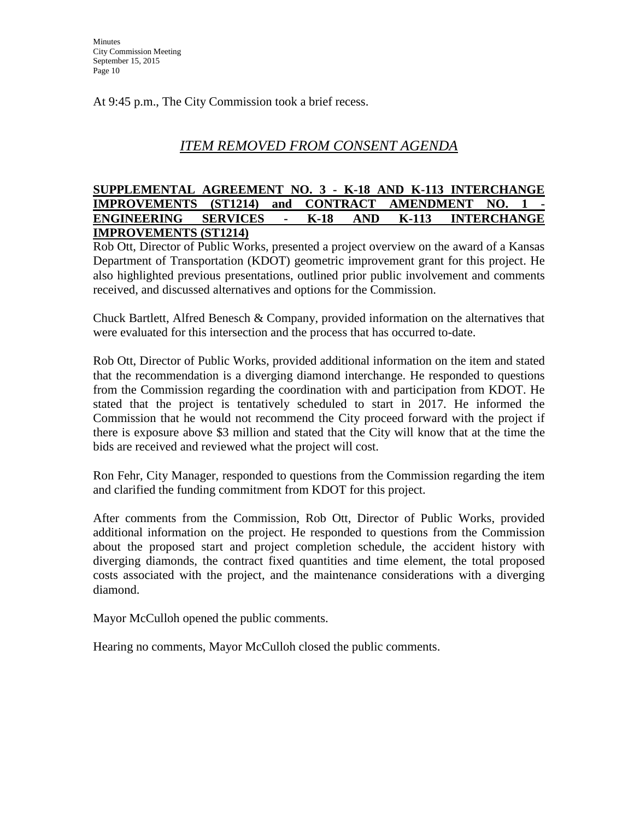At 9:45 p.m., The City Commission took a brief recess.

## *ITEM REMOVED FROM CONSENT AGENDA*

#### **SUPPLEMENTAL AGREEMENT NO. 3 - K-18 AND K-113 INTERCHANGE IMPROVEMENTS** (ST1214) and **CONTRACT** AMENDMENT NO. 1 **ENGINEERING SERVICES - K-18 AND K-113 INTERCHANGE IMPROVEMENTS (ST1214)**

Rob Ott, Director of Public Works, presented a project overview on the award of a Kansas Department of Transportation (KDOT) geometric improvement grant for this project. He also highlighted previous presentations, outlined prior public involvement and comments received, and discussed alternatives and options for the Commission.

Chuck Bartlett, Alfred Benesch & Company, provided information on the alternatives that were evaluated for this intersection and the process that has occurred to-date.

Rob Ott, Director of Public Works, provided additional information on the item and stated that the recommendation is a diverging diamond interchange. He responded to questions from the Commission regarding the coordination with and participation from KDOT. He stated that the project is tentatively scheduled to start in 2017. He informed the Commission that he would not recommend the City proceed forward with the project if there is exposure above \$3 million and stated that the City will know that at the time the bids are received and reviewed what the project will cost.

Ron Fehr, City Manager, responded to questions from the Commission regarding the item and clarified the funding commitment from KDOT for this project.

After comments from the Commission, Rob Ott, Director of Public Works, provided additional information on the project. He responded to questions from the Commission about the proposed start and project completion schedule, the accident history with diverging diamonds, the contract fixed quantities and time element, the total proposed costs associated with the project, and the maintenance considerations with a diverging diamond.

Mayor McCulloh opened the public comments.

Hearing no comments, Mayor McCulloh closed the public comments.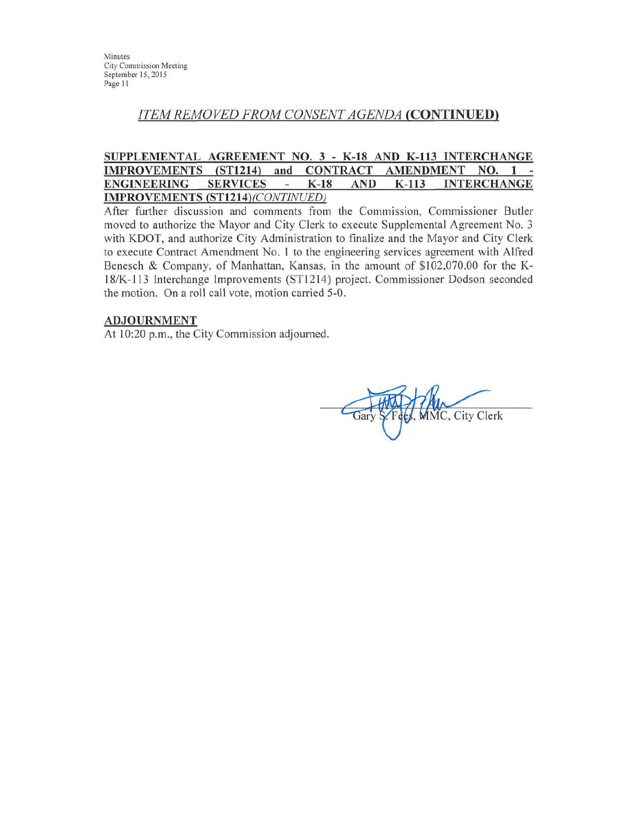Minutes **City Commission Meeting** September 15, 2015 Page 11

## **ITEM REMOVED FROM CONSENT AGENDA (CONTINUED)**

#### SUPPLEMENTAL AGREEMENT NO. 3 - K-18 AND K-113 INTERCHANGE IMPROVEMENTS (ST1214) and **CONTRACT AMENDMENT** NO.  $1 -$ **ENGINEERING SERVICES**  $K-18$ **AND**  $K-113$ **INTERCHANGE**  $\omega$ IMPROVEMENTS (ST1214) (CONTINUED)

After further discussion and comments from the Commission, Commissioner Butler moved to authorize the Mayor and City Clerk to execute Supplemental Agreement No. 3 with KDOT, and authorize City Administration to finalize and the Mayor and City Clerk to execute Contract Amendment No. 1 to the engineering services agreement with Alfred Benesch & Company, of Manhattan, Kansas, in the amount of \$102,070.00 for the K-18/K-113 Interchange Improvements (ST1214) project. Commissioner Dodson seconded the motion. On a roll call vote, motion carried 5-0.

#### **ADJOURNMENT**

At 10:20 p.m., the City Commission adjourned.

MMC, City Clerk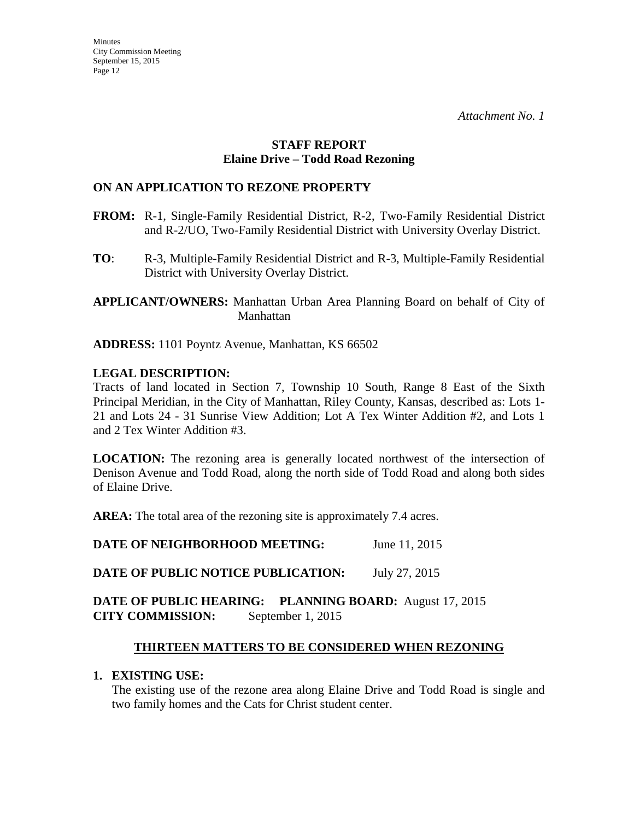#### **STAFF REPORT Elaine Drive – Todd Road Rezoning**

#### **ON AN APPLICATION TO REZONE PROPERTY**

- **FROM:** R-1, Single-Family Residential District, R-2, Two-Family Residential District and R-2/UO, Two-Family Residential District with University Overlay District.
- **TO**: R-3, Multiple-Family Residential District and R-3, Multiple-Family Residential District with University Overlay District.

**APPLICANT/OWNERS:** Manhattan Urban Area Planning Board on behalf of City of Manhattan

**ADDRESS:** 1101 Poyntz Avenue, Manhattan, KS 66502

## **LEGAL DESCRIPTION:**

Tracts of land located in Section 7, Township 10 South, Range 8 East of the Sixth Principal Meridian, in the City of Manhattan, Riley County, Kansas, described as: Lots 1- 21 and Lots 24 - 31 Sunrise View Addition; Lot A Tex Winter Addition #2, and Lots 1 and 2 Tex Winter Addition #3.

**LOCATION:** The rezoning area is generally located northwest of the intersection of Denison Avenue and Todd Road, along the north side of Todd Road and along both sides of Elaine Drive.

**AREA:** The total area of the rezoning site is approximately 7.4 acres.

**DATE OF NEIGHBORHOOD MEETING:** June 11, 2015

**DATE OF PUBLIC NOTICE PUBLICATION:** July 27, 2015

#### **DATE OF PUBLIC HEARING: PLANNING BOARD:** August 17, 2015 **CITY COMMISSION:** September 1, 2015

## **THIRTEEN MATTERS TO BE CONSIDERED WHEN REZONING**

#### **1. EXISTING USE:**

The existing use of the rezone area along Elaine Drive and Todd Road is single and two family homes and the Cats for Christ student center.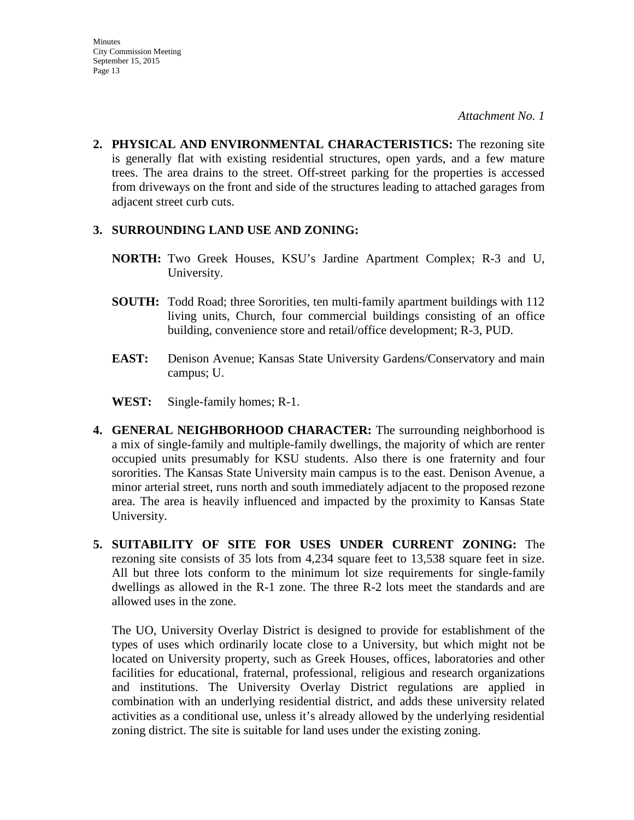**2. PHYSICAL AND ENVIRONMENTAL CHARACTERISTICS:** The rezoning site is generally flat with existing residential structures, open yards, and a few mature trees. The area drains to the street. Off-street parking for the properties is accessed from driveways on the front and side of the structures leading to attached garages from adjacent street curb cuts.

#### **3. SURROUNDING LAND USE AND ZONING:**

- **NORTH:** Two Greek Houses, KSU's Jardine Apartment Complex; R-3 and U, University.
- **SOUTH:** Todd Road; three Sororities, ten multi-family apartment buildings with 112 living units, Church, four commercial buildings consisting of an office building, convenience store and retail/office development; R-3, PUD.
- **EAST:** Denison Avenue; Kansas State University Gardens/Conservatory and main campus; U.
- **WEST:** Single-family homes; R-1.
- **4. GENERAL NEIGHBORHOOD CHARACTER:** The surrounding neighborhood is a mix of single-family and multiple-family dwellings, the majority of which are renter occupied units presumably for KSU students. Also there is one fraternity and four sororities. The Kansas State University main campus is to the east. Denison Avenue, a minor arterial street, runs north and south immediately adjacent to the proposed rezone area. The area is heavily influenced and impacted by the proximity to Kansas State University.
- **5. SUITABILITY OF SITE FOR USES UNDER CURRENT ZONING:** The rezoning site consists of 35 lots from 4,234 square feet to 13,538 square feet in size. All but three lots conform to the minimum lot size requirements for single-family dwellings as allowed in the R-1 zone. The three R-2 lots meet the standards and are allowed uses in the zone.

The UO, University Overlay District is designed to provide for establishment of the types of uses which ordinarily locate close to a University, but which might not be located on University property, such as Greek Houses, offices, laboratories and other facilities for educational, fraternal, professional, religious and research organizations and institutions. The University Overlay District regulations are applied in combination with an underlying residential district, and adds these university related activities as a conditional use, unless it's already allowed by the underlying residential zoning district. The site is suitable for land uses under the existing zoning.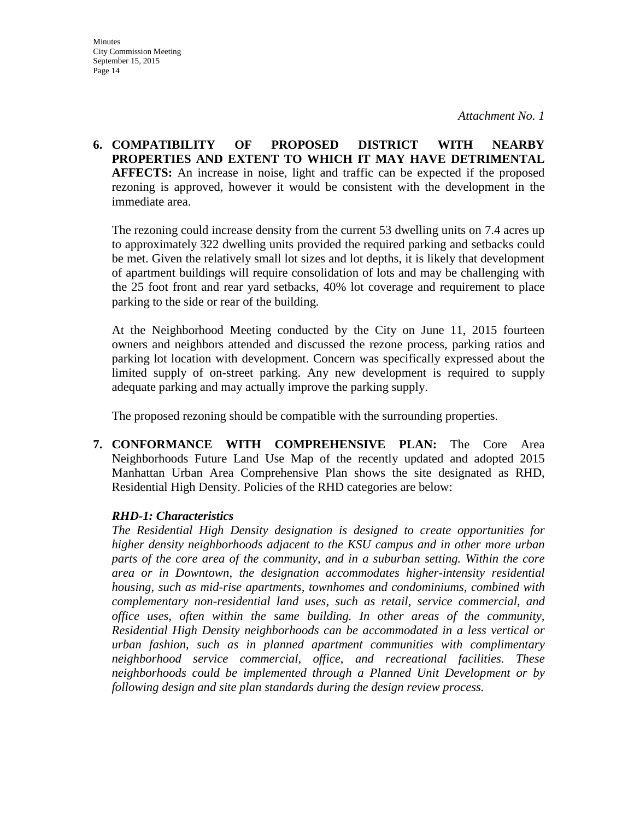**6. COMPATIBILITY OF PROPOSED DISTRICT WITH NEARBY PROPERTIES AND EXTENT TO WHICH IT MAY HAVE DETRIMENTAL AFFECTS:** An increase in noise, light and traffic can be expected if the proposed rezoning is approved, however it would be consistent with the development in the immediate area.

The rezoning could increase density from the current 53 dwelling units on 7.4 acres up to approximately 322 dwelling units provided the required parking and setbacks could be met. Given the relatively small lot sizes and lot depths, it is likely that development of apartment buildings will require consolidation of lots and may be challenging with the 25 foot front and rear yard setbacks, 40% lot coverage and requirement to place parking to the side or rear of the building.

At the Neighborhood Meeting conducted by the City on June 11, 2015 fourteen owners and neighbors attended and discussed the rezone process, parking ratios and parking lot location with development. Concern was specifically expressed about the limited supply of on-street parking. Any new development is required to supply adequate parking and may actually improve the parking supply.

The proposed rezoning should be compatible with the surrounding properties.

**7. CONFORMANCE WITH COMPREHENSIVE PLAN:** The Core Area Neighborhoods Future Land Use Map of the recently updated and adopted 2015 Manhattan Urban Area Comprehensive Plan shows the site designated as RHD, Residential High Density. Policies of the RHD categories are below:

#### *RHD-1: Characteristics*

*The Residential High Density designation is designed to create opportunities for higher density neighborhoods adjacent to the KSU campus and in other more urban parts of the core area of the community, and in a suburban setting. Within the core area or in Downtown, the designation accommodates higher-intensity residential housing, such as mid-rise apartments, townhomes and condominiums, combined with complementary non-residential land uses, such as retail, service commercial, and office uses, often within the same building. In other areas of the community, Residential High Density neighborhoods can be accommodated in a less vertical or urban fashion, such as in planned apartment communities with complimentary neighborhood service commercial, office, and recreational facilities. These neighborhoods could be implemented through a Planned Unit Development or by following design and site plan standards during the design review process.*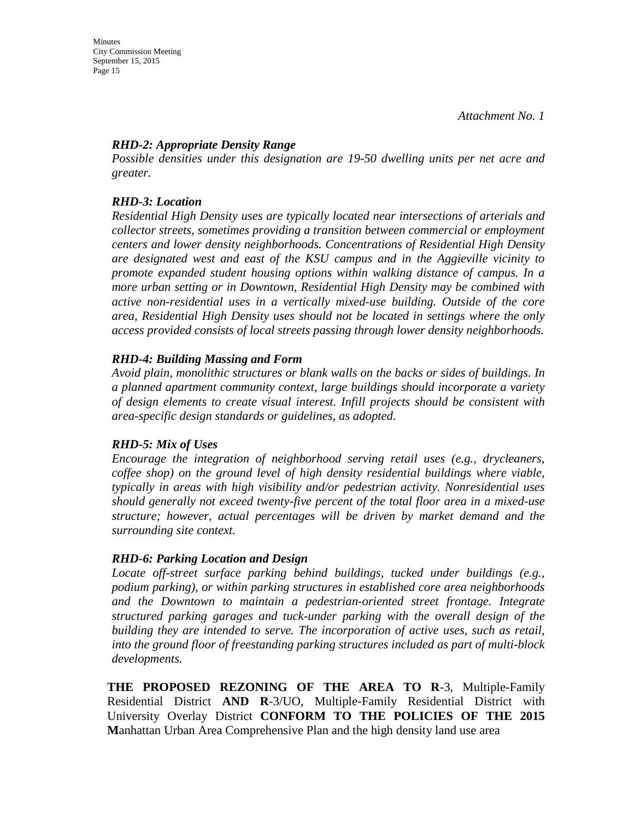#### *RHD-2: Appropriate Density Range*

*Possible densities under this designation are 19-50 dwelling units per net acre and greater.*

#### *RHD-3: Location*

*Residential High Density uses are typically located near intersections of arterials and collector streets, sometimes providing a transition between commercial or employment centers and lower density neighborhoods. Concentrations of Residential High Density are designated west and east of the KSU campus and in the Aggieville vicinity to promote expanded student housing options within walking distance of campus. In a more urban setting or in Downtown, Residential High Density may be combined with active non-residential uses in a vertically mixed-use building. Outside of the core area, Residential High Density uses should not be located in settings where the only access provided consists of local streets passing through lower density neighborhoods.* 

#### *RHD-4: Building Massing and Form*

*Avoid plain, monolithic structures or blank walls on the backs or sides of buildings. In a planned apartment community context, large buildings should incorporate a variety of design elements to create visual interest. Infill projects should be consistent with area-specific design standards or guidelines, as adopted.* 

#### *RHD-5: Mix of Uses*

*Encourage the integration of neighborhood serving retail uses (e.g., drycleaners, coffee shop) on the ground level of high density residential buildings where viable, typically in areas with high visibility and/or pedestrian activity. Nonresidential uses should generally not exceed twenty-five percent of the total floor area in a mixed-use structure; however, actual percentages will be driven by market demand and the surrounding site context.* 

#### *RHD-6: Parking Location and Design*

Locate off-street surface parking behind buildings, tucked under buildings (e.g., *podium parking), or within parking structures in established core area neighborhoods and the Downtown to maintain a pedestrian-oriented street frontage. Integrate structured parking garages and tuck-under parking with the overall design of the building they are intended to serve. The incorporation of active uses, such as retail, into the ground floor of freestanding parking structures included as part of multi-block developments.*

**THE PROPOSED REZONING OF THE AREA TO R**-3, Multiple-Family Residential District **AND R**-3/UO, Multiple-Family Residential District with University Overlay District **CONFORM TO THE POLICIES OF THE 2015 M**anhattan Urban Area Comprehensive Plan and the high density land use area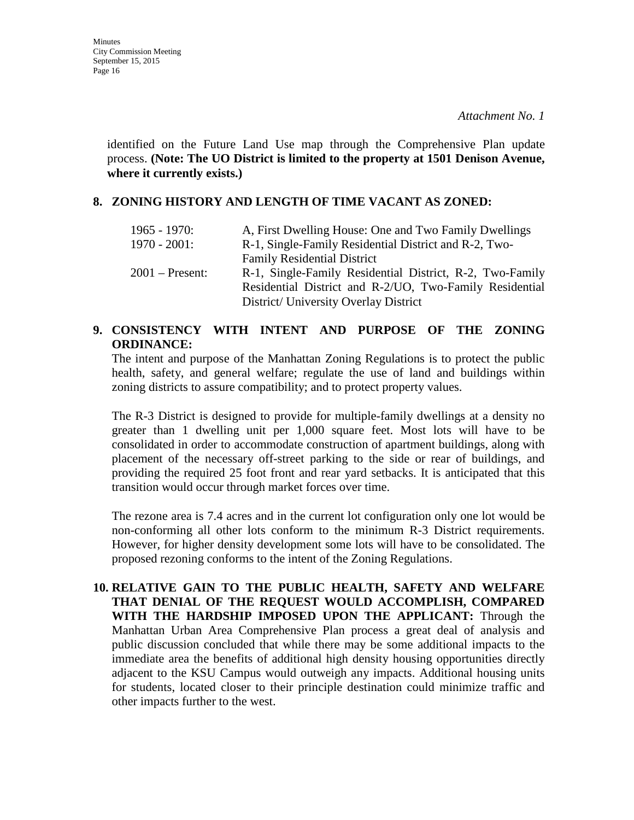identified on the Future Land Use map through the Comprehensive Plan update process. **(Note: The UO District is limited to the property at 1501 Denison Avenue, where it currently exists.)**

#### **8. ZONING HISTORY AND LENGTH OF TIME VACANT AS ZONED:**

| $1965 - 1970$ :   | A, First Dwelling House: One and Two Family Dwellings                                                                                                        |
|-------------------|--------------------------------------------------------------------------------------------------------------------------------------------------------------|
| $1970 - 2001$ :   | R-1, Single-Family Residential District and R-2, Two-                                                                                                        |
|                   | <b>Family Residential District</b>                                                                                                                           |
| $2001$ – Present: | R-1, Single-Family Residential District, R-2, Two-Family<br>Residential District and R-2/UO, Two-Family Residential<br>District/ University Overlay District |

#### **9. CONSISTENCY WITH INTENT AND PURPOSE OF THE ZONING ORDINANCE:**

The intent and purpose of the Manhattan Zoning Regulations is to protect the public health, safety, and general welfare; regulate the use of land and buildings within zoning districts to assure compatibility; and to protect property values.

The R-3 District is designed to provide for multiple-family dwellings at a density no greater than 1 dwelling unit per 1,000 square feet. Most lots will have to be consolidated in order to accommodate construction of apartment buildings, along with placement of the necessary off-street parking to the side or rear of buildings, and providing the required 25 foot front and rear yard setbacks. It is anticipated that this transition would occur through market forces over time.

The rezone area is 7.4 acres and in the current lot configuration only one lot would be non-conforming all other lots conform to the minimum R-3 District requirements. However, for higher density development some lots will have to be consolidated. The proposed rezoning conforms to the intent of the Zoning Regulations.

**10. RELATIVE GAIN TO THE PUBLIC HEALTH, SAFETY AND WELFARE THAT DENIAL OF THE REQUEST WOULD ACCOMPLISH, COMPARED WITH THE HARDSHIP IMPOSED UPON THE APPLICANT:** Through the Manhattan Urban Area Comprehensive Plan process a great deal of analysis and public discussion concluded that while there may be some additional impacts to the immediate area the benefits of additional high density housing opportunities directly adjacent to the KSU Campus would outweigh any impacts. Additional housing units for students, located closer to their principle destination could minimize traffic and other impacts further to the west.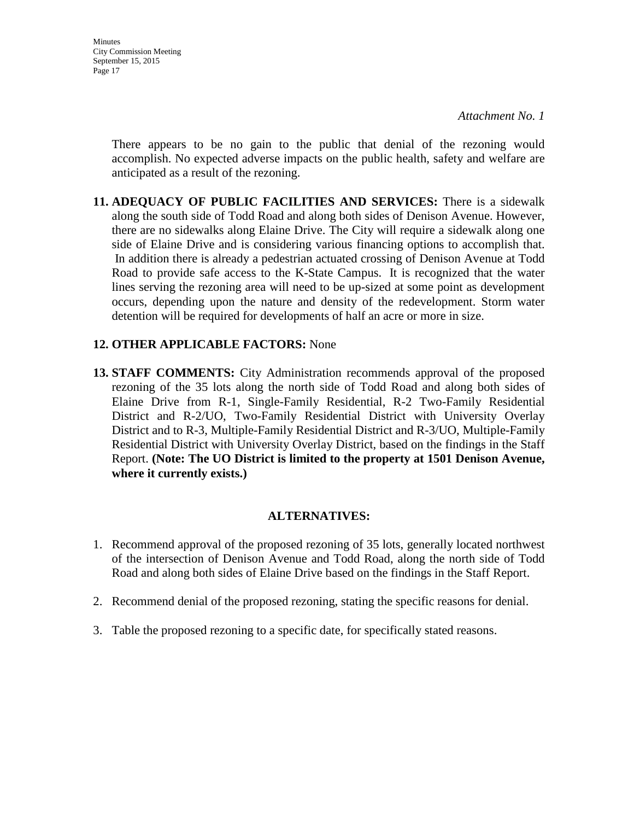**Minutes** City Commission Meeting September 15, 2015 Page 17

*Attachment No. 1*

There appears to be no gain to the public that denial of the rezoning would accomplish. No expected adverse impacts on the public health, safety and welfare are anticipated as a result of the rezoning.

**11. ADEQUACY OF PUBLIC FACILITIES AND SERVICES:** There is a sidewalk along the south side of Todd Road and along both sides of Denison Avenue. However, there are no sidewalks along Elaine Drive. The City will require a sidewalk along one side of Elaine Drive and is considering various financing options to accomplish that. In addition there is already a pedestrian actuated crossing of Denison Avenue at Todd Road to provide safe access to the K-State Campus. It is recognized that the water lines serving the rezoning area will need to be up-sized at some point as development occurs, depending upon the nature and density of the redevelopment. Storm water detention will be required for developments of half an acre or more in size.

#### **12. OTHER APPLICABLE FACTORS:** None

**13. STAFF COMMENTS:** City Administration recommends approval of the proposed rezoning of the 35 lots along the north side of Todd Road and along both sides of Elaine Drive from R-1, Single-Family Residential, R-2 Two-Family Residential District and R-2/UO, Two-Family Residential District with University Overlay District and to R-3, Multiple-Family Residential District and R-3/UO, Multiple-Family Residential District with University Overlay District, based on the findings in the Staff Report. **(Note: The UO District is limited to the property at 1501 Denison Avenue, where it currently exists.)**

#### **ALTERNATIVES:**

- 1. Recommend approval of the proposed rezoning of 35 lots, generally located northwest of the intersection of Denison Avenue and Todd Road, along the north side of Todd Road and along both sides of Elaine Drive based on the findings in the Staff Report.
- 2. Recommend denial of the proposed rezoning, stating the specific reasons for denial.
- 3. Table the proposed rezoning to a specific date, for specifically stated reasons.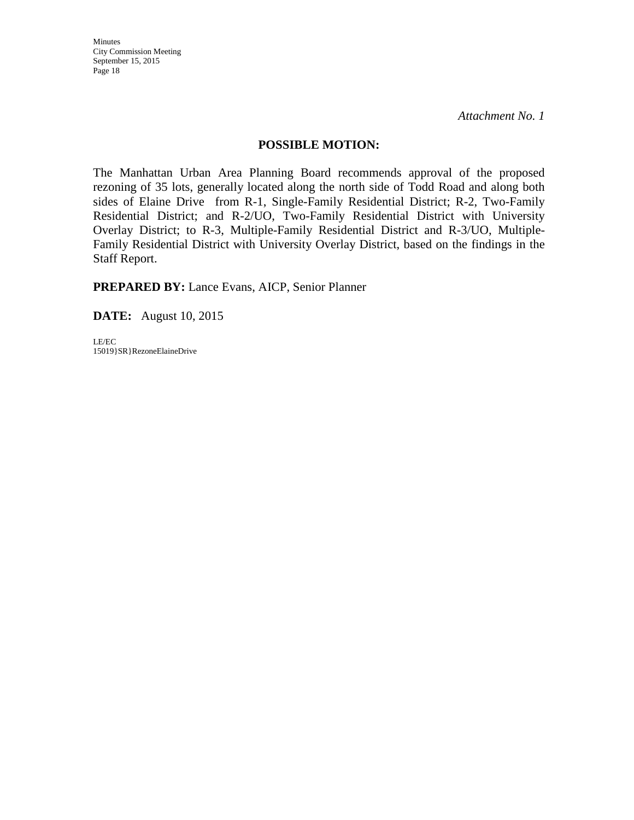City Commission Meeting September 15, 2015 Page 18

Minutes

*Attachment No. 1*

#### **POSSIBLE MOTION:**

The Manhattan Urban Area Planning Board recommends approval of the proposed rezoning of 35 lots, generally located along the north side of Todd Road and along both sides of Elaine Drive from R-1, Single-Family Residential District; R-2, Two-Family Residential District; and R-2/UO, Two-Family Residential District with University Overlay District; to R-3, Multiple-Family Residential District and R-3/UO, Multiple-Family Residential District with University Overlay District, based on the findings in the Staff Report.

**PREPARED BY:** Lance Evans, AICP, Senior Planner

**DATE:** August 10, 2015

LE/EC 15019}SR}RezoneElaineDrive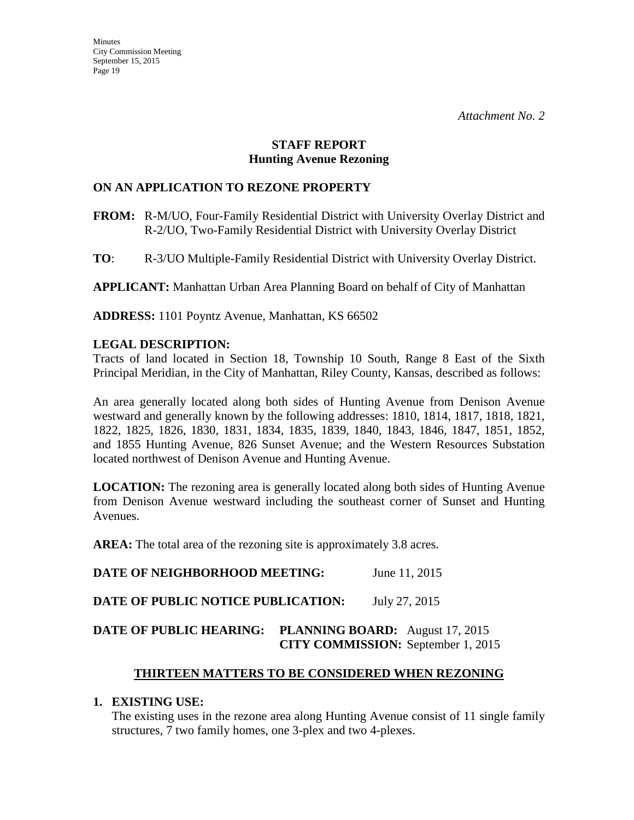#### **STAFF REPORT Hunting Avenue Rezoning**

#### **ON AN APPLICATION TO REZONE PROPERTY**

- **FROM:** R-M/UO, Four-Family Residential District with University Overlay District and R-2/UO, Two-Family Residential District with University Overlay District
- **TO**: R-3/UO Multiple-Family Residential District with University Overlay District.

**APPLICANT:** Manhattan Urban Area Planning Board on behalf of City of Manhattan

**ADDRESS:** 1101 Poyntz Avenue, Manhattan, KS 66502

#### **LEGAL DESCRIPTION:**

Tracts of land located in Section 18, Township 10 South, Range 8 East of the Sixth Principal Meridian, in the City of Manhattan, Riley County, Kansas, described as follows:

An area generally located along both sides of Hunting Avenue from Denison Avenue westward and generally known by the following addresses: 1810, 1814, 1817, 1818, 1821, 1822, 1825, 1826, 1830, 1831, 1834, 1835, 1839, 1840, 1843, 1846, 1847, 1851, 1852, and 1855 Hunting Avenue, 826 Sunset Avenue; and the Western Resources Substation located northwest of Denison Avenue and Hunting Avenue.

**LOCATION:** The rezoning area is generally located along both sides of Hunting Avenue from Denison Avenue westward including the southeast corner of Sunset and Hunting Avenues.

AREA: The total area of the rezoning site is approximately 3.8 acres.

**DATE OF NEIGHBORHOOD MEETING:** June 11, 2015

**DATE OF PUBLIC NOTICE PUBLICATION:** July 27, 2015

## **DATE OF PUBLIC HEARING: PLANNING BOARD:** August 17, 2015  **CITY COMMISSION:** September 1, 2015

## **THIRTEEN MATTERS TO BE CONSIDERED WHEN REZONING**

#### **1. EXISTING USE:**

The existing uses in the rezone area along Hunting Avenue consist of 11 single family structures, 7 two family homes, one 3-plex and two 4-plexes.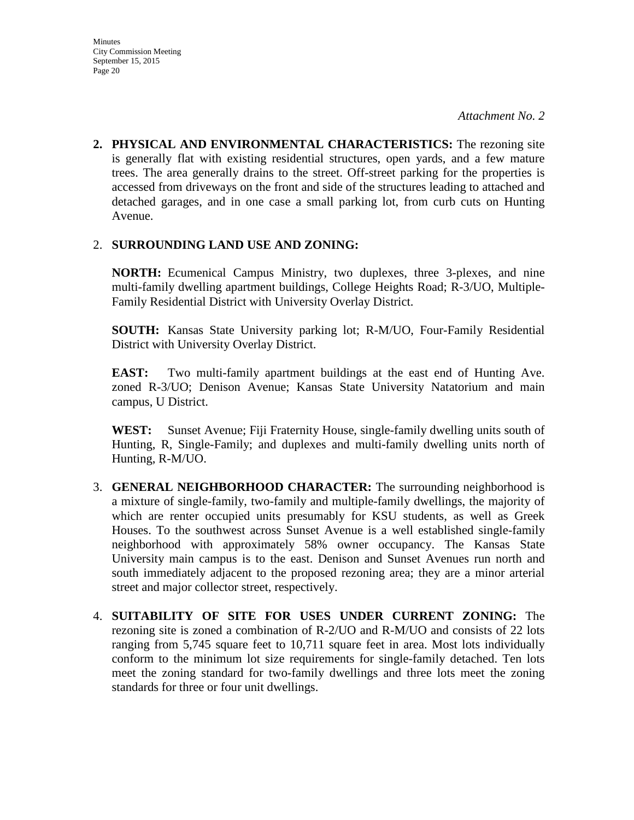**2. PHYSICAL AND ENVIRONMENTAL CHARACTERISTICS:** The rezoning site is generally flat with existing residential structures, open yards, and a few mature trees. The area generally drains to the street. Off-street parking for the properties is accessed from driveways on the front and side of the structures leading to attached and detached garages, and in one case a small parking lot, from curb cuts on Hunting Avenue.

#### 2. **SURROUNDING LAND USE AND ZONING:**

**NORTH:** Ecumenical Campus Ministry, two duplexes, three 3-plexes, and nine multi-family dwelling apartment buildings, College Heights Road; R-3/UO, Multiple-Family Residential District with University Overlay District.

**SOUTH:** Kansas State University parking lot; R-M/UO, Four-Family Residential District with University Overlay District.

**EAST:** Two multi-family apartment buildings at the east end of Hunting Ave. zoned R-3/UO; Denison Avenue; Kansas State University Natatorium and main campus, U District.

**WEST:** Sunset Avenue; Fiji Fraternity House, single-family dwelling units south of Hunting, R, Single-Family; and duplexes and multi-family dwelling units north of Hunting, R-M/UO.

- 3. **GENERAL NEIGHBORHOOD CHARACTER:** The surrounding neighborhood is a mixture of single-family, two-family and multiple-family dwellings, the majority of which are renter occupied units presumably for KSU students, as well as Greek Houses. To the southwest across Sunset Avenue is a well established single-family neighborhood with approximately 58% owner occupancy. The Kansas State University main campus is to the east. Denison and Sunset Avenues run north and south immediately adjacent to the proposed rezoning area; they are a minor arterial street and major collector street, respectively.
- 4. **SUITABILITY OF SITE FOR USES UNDER CURRENT ZONING:** The rezoning site is zoned a combination of R-2/UO and R-M/UO and consists of 22 lots ranging from 5,745 square feet to 10,711 square feet in area. Most lots individually conform to the minimum lot size requirements for single-family detached. Ten lots meet the zoning standard for two-family dwellings and three lots meet the zoning standards for three or four unit dwellings.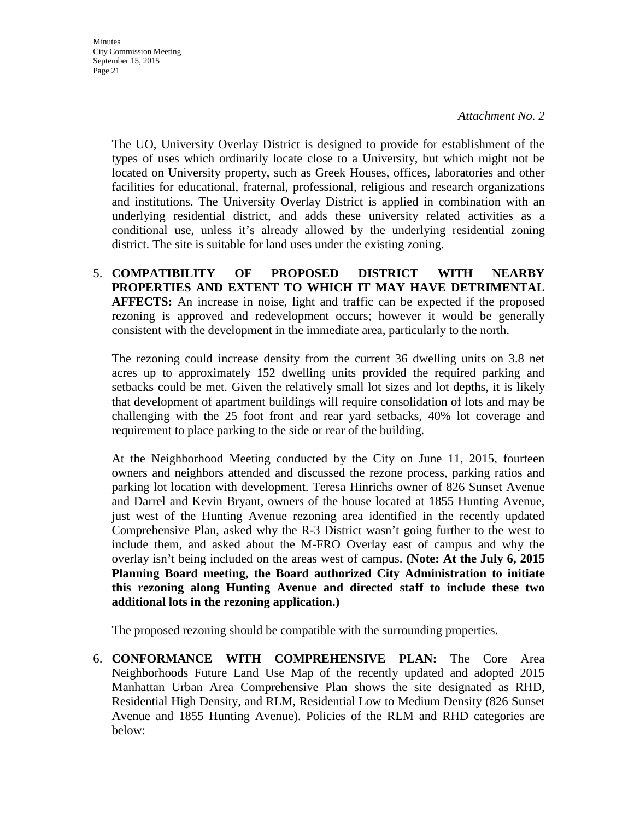**Minutes** City Commission Meeting September 15, 2015 Page 21

> The UO, University Overlay District is designed to provide for establishment of the types of uses which ordinarily locate close to a University, but which might not be located on University property, such as Greek Houses, offices, laboratories and other facilities for educational, fraternal, professional, religious and research organizations and institutions. The University Overlay District is applied in combination with an underlying residential district, and adds these university related activities as a conditional use, unless it's already allowed by the underlying residential zoning district. The site is suitable for land uses under the existing zoning.

5. **COMPATIBILITY OF PROPOSED DISTRICT WITH NEARBY PROPERTIES AND EXTENT TO WHICH IT MAY HAVE DETRIMENTAL AFFECTS:** An increase in noise, light and traffic can be expected if the proposed rezoning is approved and redevelopment occurs; however it would be generally consistent with the development in the immediate area, particularly to the north.

The rezoning could increase density from the current 36 dwelling units on 3.8 net acres up to approximately 152 dwelling units provided the required parking and setbacks could be met. Given the relatively small lot sizes and lot depths, it is likely that development of apartment buildings will require consolidation of lots and may be challenging with the 25 foot front and rear yard setbacks, 40% lot coverage and requirement to place parking to the side or rear of the building.

At the Neighborhood Meeting conducted by the City on June 11, 2015, fourteen owners and neighbors attended and discussed the rezone process, parking ratios and parking lot location with development. Teresa Hinrichs owner of 826 Sunset Avenue and Darrel and Kevin Bryant, owners of the house located at 1855 Hunting Avenue, just west of the Hunting Avenue rezoning area identified in the recently updated Comprehensive Plan, asked why the R-3 District wasn't going further to the west to include them, and asked about the M-FRO Overlay east of campus and why the overlay isn't being included on the areas west of campus. **(Note: At the July 6, 2015 Planning Board meeting, the Board authorized City Administration to initiate this rezoning along Hunting Avenue and directed staff to include these two additional lots in the rezoning application.)** 

The proposed rezoning should be compatible with the surrounding properties.

6. **CONFORMANCE WITH COMPREHENSIVE PLAN:** The Core Area Neighborhoods Future Land Use Map of the recently updated and adopted 2015 Manhattan Urban Area Comprehensive Plan shows the site designated as RHD, Residential High Density, and RLM, Residential Low to Medium Density (826 Sunset Avenue and 1855 Hunting Avenue). Policies of the RLM and RHD categories are below: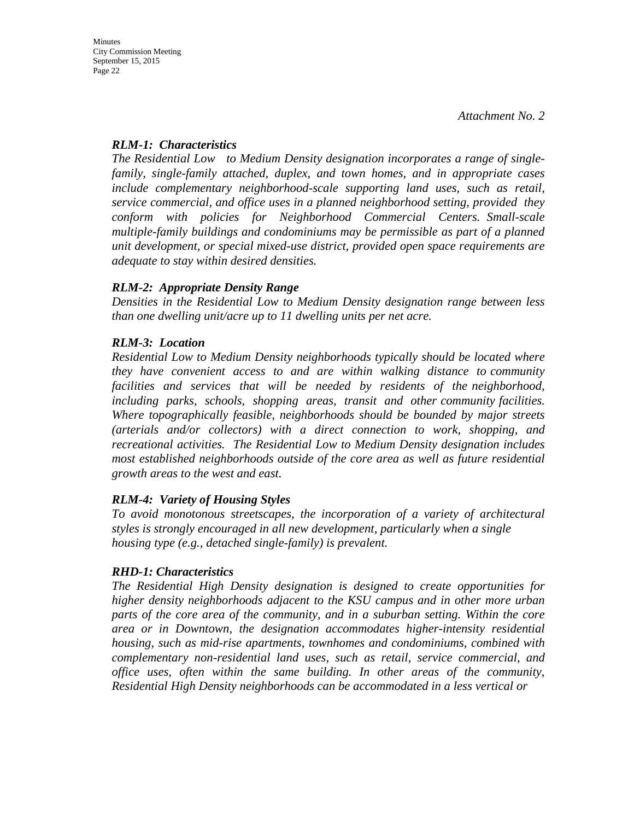#### *RLM-1: Characteristics*

*The Residential Low to Medium Density designation incorporates a range of singlefamily, single-family attached, duplex, and town homes, and in appropriate cases include complementary neighborhood-scale supporting land uses, such as retail, service commercial, and office uses in a planned neighborhood setting, provided they conform with policies for Neighborhood Commercial Centers. Small-scale multiple-family buildings and condominiums may be permissible as part of a planned unit development, or special mixed-use district, provided open space requirements are adequate to stay within desired densities.*

#### *RLM-2: Appropriate Density Range*

*Densities in the Residential Low to Medium Density designation range between less than one dwelling unit/acre up to 11 dwelling units per net acre.* 

## *RLM-3: Location*

*Residential Low to Medium Density neighborhoods typically should be located where they have convenient access to and are within walking distance to community facilities and services that will be needed by residents of the neighborhood, including parks, schools, shopping areas, transit and other community facilities. Where topographically feasible, neighborhoods should be bounded by major streets (arterials and/or collectors) with a direct connection to work, shopping, and recreational activities. The Residential Low to Medium Density designation includes most established neighborhoods outside of the core area as well as future residential growth areas to the west and east.* 

## *RLM-4: Variety of Housing Styles*

*To avoid monotonous streetscapes, the incorporation of a variety of architectural styles is strongly encouraged in all new development, particularly when a single housing type (e.g., detached single-family) is prevalent.*

#### *RHD-1: Characteristics*

*The Residential High Density designation is designed to create opportunities for higher density neighborhoods adjacent to the KSU campus and in other more urban parts of the core area of the community, and in a suburban setting. Within the core area or in Downtown, the designation accommodates higher-intensity residential housing, such as mid-rise apartments, townhomes and condominiums, combined with complementary non-residential land uses, such as retail, service commercial, and office uses, often within the same building. In other areas of the community, Residential High Density neighborhoods can be accommodated in a less vertical or*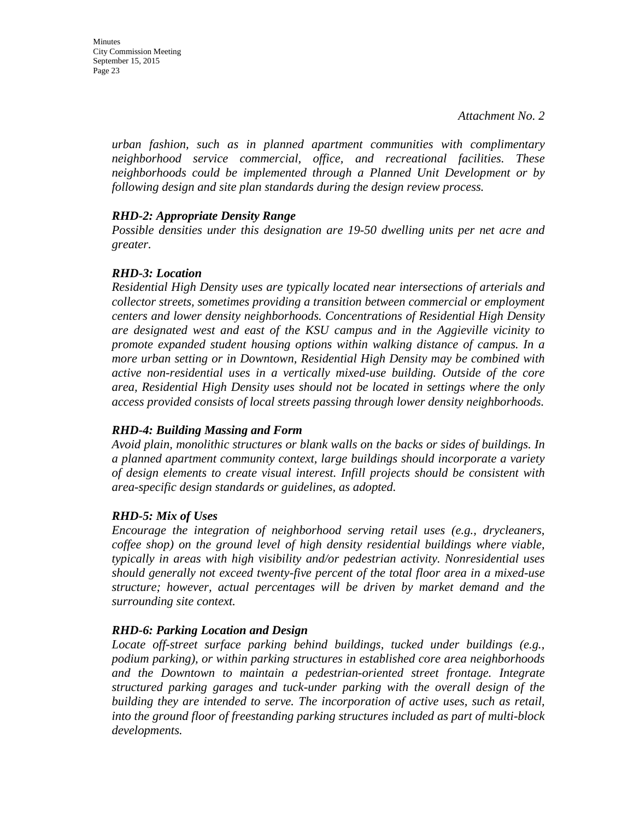*urban fashion, such as in planned apartment communities with complimentary neighborhood service commercial, office, and recreational facilities. These neighborhoods could be implemented through a Planned Unit Development or by following design and site plan standards during the design review process.* 

#### *RHD-2: Appropriate Density Range*

*Possible densities under this designation are 19-50 dwelling units per net acre and greater.*

#### *RHD-3: Location*

*Residential High Density uses are typically located near intersections of arterials and collector streets, sometimes providing a transition between commercial or employment centers and lower density neighborhoods. Concentrations of Residential High Density are designated west and east of the KSU campus and in the Aggieville vicinity to promote expanded student housing options within walking distance of campus. In a more urban setting or in Downtown, Residential High Density may be combined with active non-residential uses in a vertically mixed-use building. Outside of the core area, Residential High Density uses should not be located in settings where the only access provided consists of local streets passing through lower density neighborhoods.* 

#### *RHD-4: Building Massing and Form*

*Avoid plain, monolithic structures or blank walls on the backs or sides of buildings. In a planned apartment community context, large buildings should incorporate a variety of design elements to create visual interest. Infill projects should be consistent with area-specific design standards or guidelines, as adopted.* 

#### *RHD-5: Mix of Uses*

*Encourage the integration of neighborhood serving retail uses (e.g., drycleaners, coffee shop) on the ground level of high density residential buildings where viable, typically in areas with high visibility and/or pedestrian activity. Nonresidential uses should generally not exceed twenty-five percent of the total floor area in a mixed-use structure; however, actual percentages will be driven by market demand and the surrounding site context.* 

#### *RHD-6: Parking Location and Design*

*Locate off-street surface parking behind buildings, tucked under buildings (e.g., podium parking), or within parking structures in established core area neighborhoods and the Downtown to maintain a pedestrian-oriented street frontage. Integrate structured parking garages and tuck-under parking with the overall design of the building they are intended to serve. The incorporation of active uses, such as retail, into the ground floor of freestanding parking structures included as part of multi-block developments.*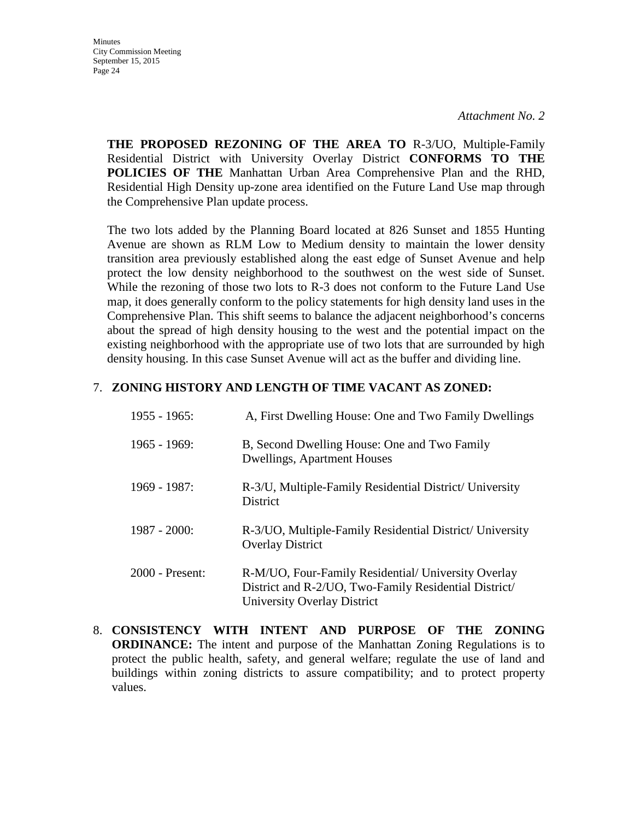**Minutes** City Commission Meeting September 15, 2015 Page 24

> **THE PROPOSED REZONING OF THE AREA TO** R-3/UO, Multiple-Family Residential District with University Overlay District **CONFORMS TO THE POLICIES OF THE** Manhattan Urban Area Comprehensive Plan and the RHD, Residential High Density up-zone area identified on the Future Land Use map through the Comprehensive Plan update process.

> The two lots added by the Planning Board located at 826 Sunset and 1855 Hunting Avenue are shown as RLM Low to Medium density to maintain the lower density transition area previously established along the east edge of Sunset Avenue and help protect the low density neighborhood to the southwest on the west side of Sunset. While the rezoning of those two lots to R-3 does not conform to the Future Land Use map, it does generally conform to the policy statements for high density land uses in the Comprehensive Plan. This shift seems to balance the adjacent neighborhood's concerns about the spread of high density housing to the west and the potential impact on the existing neighborhood with the appropriate use of two lots that are surrounded by high density housing. In this case Sunset Avenue will act as the buffer and dividing line.

#### 7. **ZONING HISTORY AND LENGTH OF TIME VACANT AS ZONED:**

| $1955 - 1965$ : | A, First Dwelling House: One and Two Family Dwellings                                                                                       |
|-----------------|---------------------------------------------------------------------------------------------------------------------------------------------|
| $1965 - 1969$ : | B, Second Dwelling House: One and Two Family<br><b>Dwellings, Apartment Houses</b>                                                          |
| 1969 - 1987:    | R-3/U, Multiple-Family Residential District/ University<br><b>District</b>                                                                  |
| $1987 - 2000$ : | R-3/UO, Multiple-Family Residential District/ University<br><b>Overlay District</b>                                                         |
| 2000 - Present: | R-M/UO, Four-Family Residential/ University Overlay<br>District and R-2/UO, Two-Family Residential District/<br>University Overlay District |

8. **CONSISTENCY WITH INTENT AND PURPOSE OF THE ZONING ORDINANCE:** The intent and purpose of the Manhattan Zoning Regulations is to protect the public health, safety, and general welfare; regulate the use of land and buildings within zoning districts to assure compatibility; and to protect property values.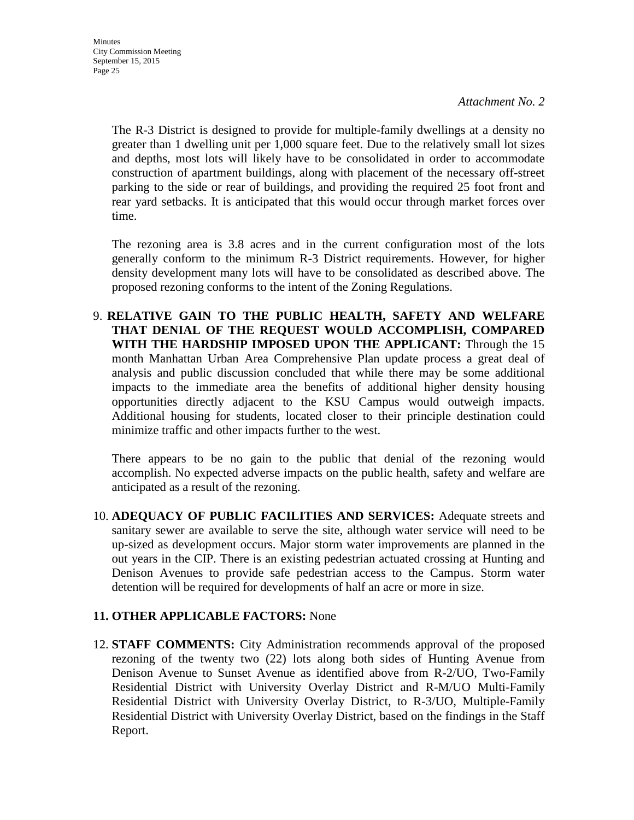The R-3 District is designed to provide for multiple-family dwellings at a density no greater than 1 dwelling unit per 1,000 square feet. Due to the relatively small lot sizes and depths, most lots will likely have to be consolidated in order to accommodate construction of apartment buildings, along with placement of the necessary off-street parking to the side or rear of buildings, and providing the required 25 foot front and rear yard setbacks. It is anticipated that this would occur through market forces over time.

The rezoning area is 3.8 acres and in the current configuration most of the lots generally conform to the minimum R-3 District requirements. However, for higher density development many lots will have to be consolidated as described above. The proposed rezoning conforms to the intent of the Zoning Regulations.

9. **RELATIVE GAIN TO THE PUBLIC HEALTH, SAFETY AND WELFARE THAT DENIAL OF THE REQUEST WOULD ACCOMPLISH, COMPARED WITH THE HARDSHIP IMPOSED UPON THE APPLICANT:** Through the 15 month Manhattan Urban Area Comprehensive Plan update process a great deal of analysis and public discussion concluded that while there may be some additional impacts to the immediate area the benefits of additional higher density housing opportunities directly adjacent to the KSU Campus would outweigh impacts. Additional housing for students, located closer to their principle destination could minimize traffic and other impacts further to the west.

There appears to be no gain to the public that denial of the rezoning would accomplish. No expected adverse impacts on the public health, safety and welfare are anticipated as a result of the rezoning.

10. **ADEQUACY OF PUBLIC FACILITIES AND SERVICES:** Adequate streets and sanitary sewer are available to serve the site, although water service will need to be up-sized as development occurs. Major storm water improvements are planned in the out years in the CIP. There is an existing pedestrian actuated crossing at Hunting and Denison Avenues to provide safe pedestrian access to the Campus. Storm water detention will be required for developments of half an acre or more in size.

## **11. OTHER APPLICABLE FACTORS:** None

12. **STAFF COMMENTS:** City Administration recommends approval of the proposed rezoning of the twenty two (22) lots along both sides of Hunting Avenue from Denison Avenue to Sunset Avenue as identified above from R-2/UO, Two-Family Residential District with University Overlay District and R-M/UO Multi-Family Residential District with University Overlay District, to R-3/UO, Multiple-Family Residential District with University Overlay District, based on the findings in the Staff Report.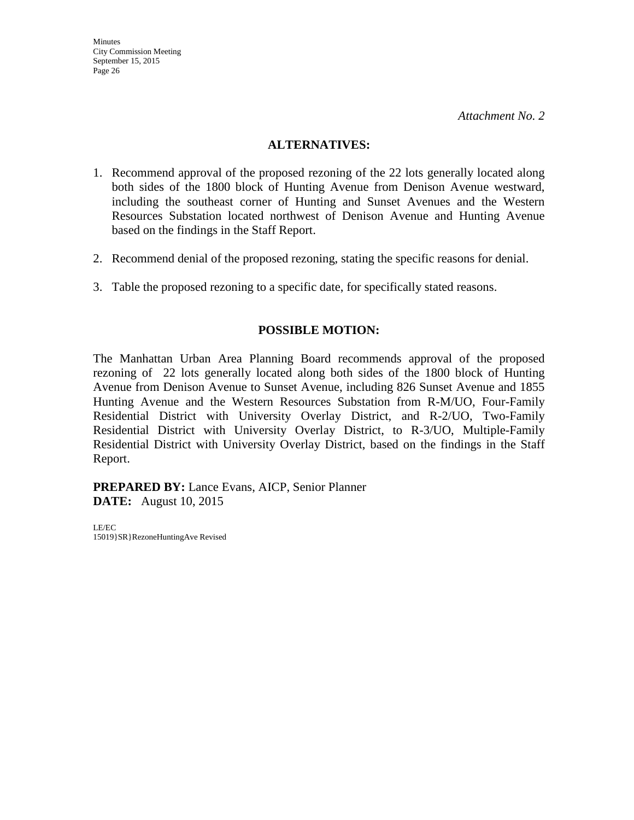#### **ALTERNATIVES:**

- 1. Recommend approval of the proposed rezoning of the 22 lots generally located along both sides of the 1800 block of Hunting Avenue from Denison Avenue westward, including the southeast corner of Hunting and Sunset Avenues and the Western Resources Substation located northwest of Denison Avenue and Hunting Avenue based on the findings in the Staff Report.
- 2. Recommend denial of the proposed rezoning, stating the specific reasons for denial.
- 3. Table the proposed rezoning to a specific date, for specifically stated reasons.

#### **POSSIBLE MOTION:**

The Manhattan Urban Area Planning Board recommends approval of the proposed rezoning of 22 lots generally located along both sides of the 1800 block of Hunting Avenue from Denison Avenue to Sunset Avenue, including 826 Sunset Avenue and 1855 Hunting Avenue and the Western Resources Substation from R-M/UO, Four-Family Residential District with University Overlay District, and R-2/UO, Two-Family Residential District with University Overlay District, to R-3/UO, Multiple-Family Residential District with University Overlay District, based on the findings in the Staff Report.

**PREPARED BY:** Lance Evans, AICP, Senior Planner **DATE:** August 10, 2015

LE/EC 15019}SR}RezoneHuntingAve Revised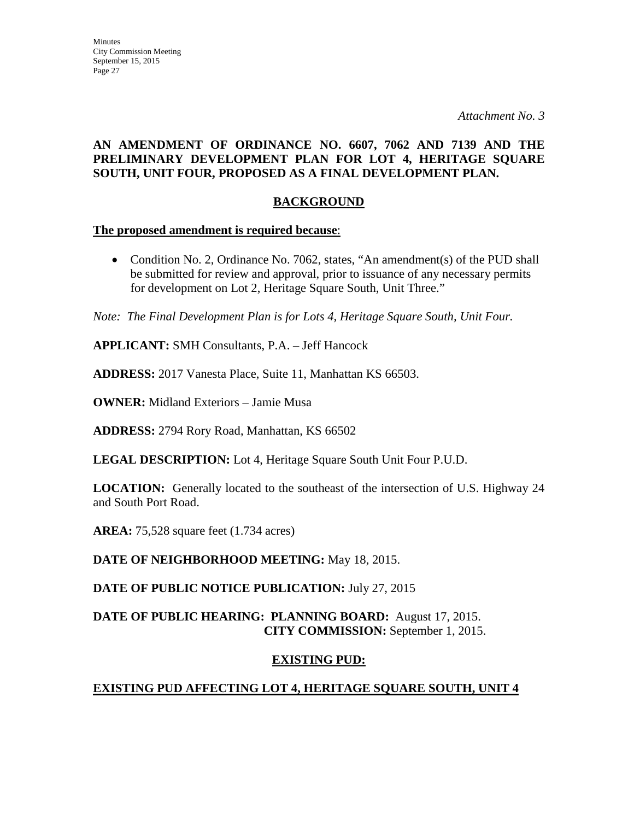#### **AN AMENDMENT OF ORDINANCE NO. 6607, 7062 AND 7139 AND THE PRELIMINARY DEVELOPMENT PLAN FOR LOT 4, HERITAGE SQUARE SOUTH, UNIT FOUR, PROPOSED AS A FINAL DEVELOPMENT PLAN.**

#### **BACKGROUND**

#### **The proposed amendment is required because**:

• Condition No. 2, Ordinance No. 7062, states, "An amendment(s) of the PUD shall be submitted for review and approval, prior to issuance of any necessary permits for development on Lot 2, Heritage Square South, Unit Three."

*Note: The Final Development Plan is for Lots 4, Heritage Square South, Unit Four.* 

**APPLICANT:** SMH Consultants, P.A. – Jeff Hancock

**ADDRESS:** 2017 Vanesta Place, Suite 11, Manhattan KS 66503.

**OWNER:** Midland Exteriors – Jamie Musa

**ADDRESS:** 2794 Rory Road, Manhattan, KS 66502

**LEGAL DESCRIPTION:** Lot 4, Heritage Square South Unit Four P.U.D.

**LOCATION:** Generally located to the southeast of the intersection of U.S. Highway 24 and South Port Road.

**AREA:** 75,528 square feet (1.734 acres)

**DATE OF NEIGHBORHOOD MEETING:** May 18, 2015.

**DATE OF PUBLIC NOTICE PUBLICATION:** July 27, 2015

#### **DATE OF PUBLIC HEARING: PLANNING BOARD:** August 17, 2015. **CITY COMMISSION:** September 1, 2015.

#### **EXISTING PUD:**

## **EXISTING PUD AFFECTING LOT 4, HERITAGE SQUARE SOUTH, UNIT 4**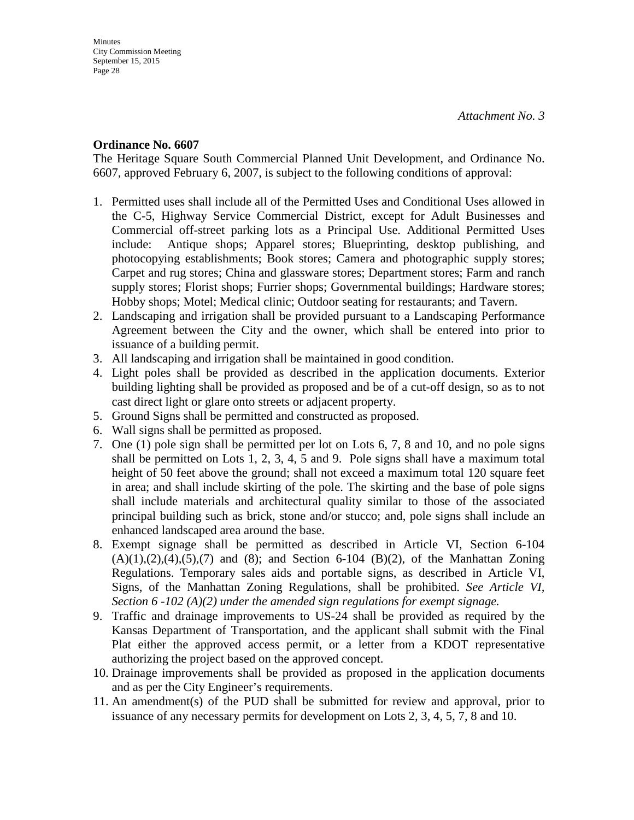#### **Ordinance No. 6607**

The Heritage Square South Commercial Planned Unit Development, and Ordinance No. 6607, approved February 6, 2007, is subject to the following conditions of approval:

- 1. Permitted uses shall include all of the Permitted Uses and Conditional Uses allowed in the C-5, Highway Service Commercial District, except for Adult Businesses and Commercial off-street parking lots as a Principal Use. Additional Permitted Uses include: Antique shops; Apparel stores; Blueprinting, desktop publishing, and photocopying establishments; Book stores; Camera and photographic supply stores; Carpet and rug stores; China and glassware stores; Department stores; Farm and ranch supply stores; Florist shops; Furrier shops; Governmental buildings; Hardware stores; Hobby shops; Motel; Medical clinic; Outdoor seating for restaurants; and Tavern.
- 2. Landscaping and irrigation shall be provided pursuant to a Landscaping Performance Agreement between the City and the owner, which shall be entered into prior to issuance of a building permit.
- 3. All landscaping and irrigation shall be maintained in good condition.
- 4. Light poles shall be provided as described in the application documents. Exterior building lighting shall be provided as proposed and be of a cut-off design, so as to not cast direct light or glare onto streets or adjacent property.
- 5. Ground Signs shall be permitted and constructed as proposed.
- 6. Wall signs shall be permitted as proposed.
- 7. One (1) pole sign shall be permitted per lot on Lots 6, 7, 8 and 10, and no pole signs shall be permitted on Lots 1, 2, 3, 4, 5 and 9. Pole signs shall have a maximum total height of 50 feet above the ground; shall not exceed a maximum total 120 square feet in area; and shall include skirting of the pole. The skirting and the base of pole signs shall include materials and architectural quality similar to those of the associated principal building such as brick, stone and/or stucco; and, pole signs shall include an enhanced landscaped area around the base.
- 8. Exempt signage shall be permitted as described in Article VI, Section 6-104  $(A)(1),(2),(4),(5),(7)$  and  $(8)$ ; and Section 6-104  $(B)(2)$ , of the Manhattan Zoning Regulations. Temporary sales aids and portable signs, as described in Article VI, Signs, of the Manhattan Zoning Regulations, shall be prohibited. *See Article VI, Section 6 -102 (A)(2) under the amended sign regulations for exempt signage.*
- 9. Traffic and drainage improvements to US-24 shall be provided as required by the Kansas Department of Transportation, and the applicant shall submit with the Final Plat either the approved access permit, or a letter from a KDOT representative authorizing the project based on the approved concept.
- 10. Drainage improvements shall be provided as proposed in the application documents and as per the City Engineer's requirements.
- 11. An amendment(s) of the PUD shall be submitted for review and approval, prior to issuance of any necessary permits for development on Lots 2, 3, 4, 5, 7, 8 and 10.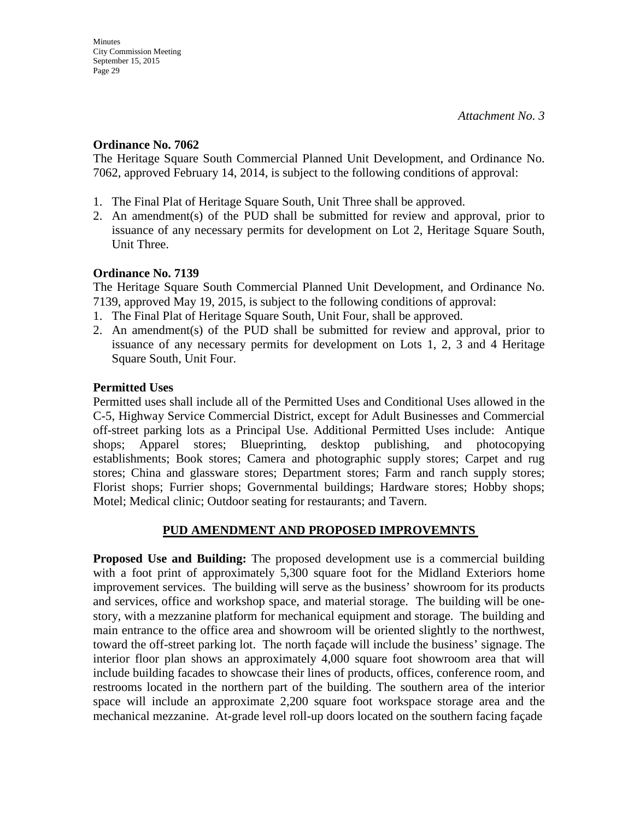#### **Ordinance No. 7062**

The Heritage Square South Commercial Planned Unit Development, and Ordinance No. 7062, approved February 14, 2014, is subject to the following conditions of approval:

- 1. The Final Plat of Heritage Square South, Unit Three shall be approved.
- 2. An amendment(s) of the PUD shall be submitted for review and approval, prior to issuance of any necessary permits for development on Lot 2, Heritage Square South, Unit Three.

#### **Ordinance No. 7139**

The Heritage Square South Commercial Planned Unit Development, and Ordinance No. 7139, approved May 19, 2015, is subject to the following conditions of approval:

- 1. The Final Plat of Heritage Square South, Unit Four, shall be approved.
- 2. An amendment(s) of the PUD shall be submitted for review and approval, prior to issuance of any necessary permits for development on Lots 1, 2, 3 and 4 Heritage Square South, Unit Four.

#### **Permitted Uses**

Permitted uses shall include all of the Permitted Uses and Conditional Uses allowed in the C-5, Highway Service Commercial District, except for Adult Businesses and Commercial off-street parking lots as a Principal Use. Additional Permitted Uses include: Antique shops; Apparel stores; Blueprinting, desktop publishing, and photocopying establishments; Book stores; Camera and photographic supply stores; Carpet and rug stores; China and glassware stores; Department stores; Farm and ranch supply stores; Florist shops; Furrier shops; Governmental buildings; Hardware stores; Hobby shops; Motel; Medical clinic; Outdoor seating for restaurants; and Tavern.

#### **PUD AMENDMENT AND PROPOSED IMPROVEMNTS**

**Proposed Use and Building:** The proposed development use is a commercial building with a foot print of approximately 5,300 square foot for the Midland Exteriors home improvement services. The building will serve as the business' showroom for its products and services, office and workshop space, and material storage. The building will be onestory, with a mezzanine platform for mechanical equipment and storage. The building and main entrance to the office area and showroom will be oriented slightly to the northwest, toward the off-street parking lot. The north façade will include the business' signage. The interior floor plan shows an approximately 4,000 square foot showroom area that will include building facades to showcase their lines of products, offices, conference room, and restrooms located in the northern part of the building. The southern area of the interior space will include an approximate 2,200 square foot workspace storage area and the mechanical mezzanine. At-grade level roll-up doors located on the southern facing façade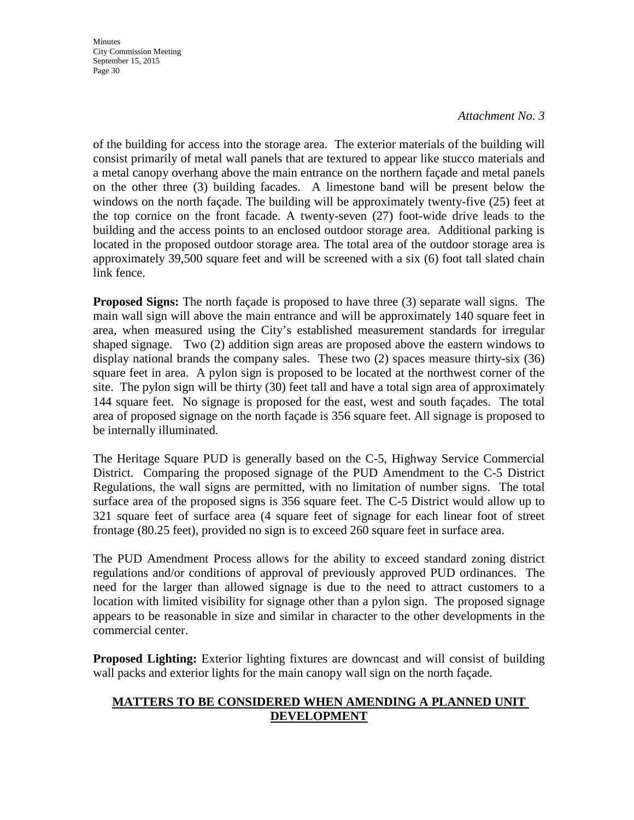**Minutes** City Commission Meeting September 15, 2015 Page 30

#### *Attachment No. 3*

of the building for access into the storage area. The exterior materials of the building will consist primarily of metal wall panels that are textured to appear like stucco materials and a metal canopy overhang above the main entrance on the northern façade and metal panels on the other three (3) building facades. A limestone band will be present below the windows on the north façade. The building will be approximately twenty-five (25) feet at the top cornice on the front facade. A twenty-seven (27) foot-wide drive leads to the building and the access points to an enclosed outdoor storage area. Additional parking is located in the proposed outdoor storage area. The total area of the outdoor storage area is approximately 39,500 square feet and will be screened with a six (6) foot tall slated chain link fence.

**Proposed Signs:** The north façade is proposed to have three (3) separate wall signs. The main wall sign will above the main entrance and will be approximately 140 square feet in area, when measured using the City's established measurement standards for irregular shaped signage. Two (2) addition sign areas are proposed above the eastern windows to display national brands the company sales. These two (2) spaces measure thirty-six (36) square feet in area. A pylon sign is proposed to be located at the northwest corner of the site. The pylon sign will be thirty (30) feet tall and have a total sign area of approximately 144 square feet. No signage is proposed for the east, west and south façades. The total area of proposed signage on the north façade is 356 square feet. All signage is proposed to be internally illuminated.

The Heritage Square PUD is generally based on the C-5, Highway Service Commercial District. Comparing the proposed signage of the PUD Amendment to the C-5 District Regulations, the wall signs are permitted, with no limitation of number signs. The total surface area of the proposed signs is 356 square feet. The C-5 District would allow up to 321 square feet of surface area (4 square feet of signage for each linear foot of street frontage (80.25 feet), provided no sign is to exceed 260 square feet in surface area.

The PUD Amendment Process allows for the ability to exceed standard zoning district regulations and/or conditions of approval of previously approved PUD ordinances. The need for the larger than allowed signage is due to the need to attract customers to a location with limited visibility for signage other than a pylon sign. The proposed signage appears to be reasonable in size and similar in character to the other developments in the commercial center.

**Proposed Lighting:** Exterior lighting fixtures are downcast and will consist of building wall packs and exterior lights for the main canopy wall sign on the north façade.

#### **MATTERS TO BE CONSIDERED WHEN AMENDING A PLANNED UNIT DEVELOPMENT**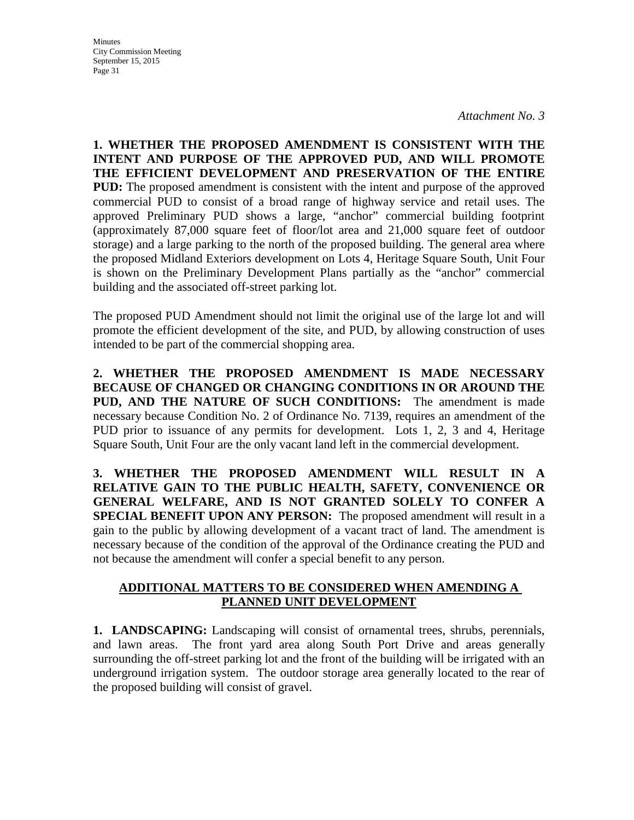**Minutes** City Commission Meeting September 15, 2015 Page 31

**1. WHETHER THE PROPOSED AMENDMENT IS CONSISTENT WITH THE INTENT AND PURPOSE OF THE APPROVED PUD, AND WILL PROMOTE THE EFFICIENT DEVELOPMENT AND PRESERVATION OF THE ENTIRE PUD:** The proposed amendment is consistent with the intent and purpose of the approved commercial PUD to consist of a broad range of highway service and retail uses. The approved Preliminary PUD shows a large, "anchor" commercial building footprint (approximately 87,000 square feet of floor/lot area and 21,000 square feet of outdoor storage) and a large parking to the north of the proposed building. The general area where the proposed Midland Exteriors development on Lots 4, Heritage Square South, Unit Four is shown on the Preliminary Development Plans partially as the "anchor" commercial building and the associated off-street parking lot.

The proposed PUD Amendment should not limit the original use of the large lot and will promote the efficient development of the site, and PUD, by allowing construction of uses intended to be part of the commercial shopping area.

**2. WHETHER THE PROPOSED AMENDMENT IS MADE NECESSARY BECAUSE OF CHANGED OR CHANGING CONDITIONS IN OR AROUND THE PUD, AND THE NATURE OF SUCH CONDITIONS:** The amendment is made necessary because Condition No. 2 of Ordinance No. 7139, requires an amendment of the PUD prior to issuance of any permits for development. Lots 1, 2, 3 and 4, Heritage Square South, Unit Four are the only vacant land left in the commercial development.

**3. WHETHER THE PROPOSED AMENDMENT WILL RESULT IN A RELATIVE GAIN TO THE PUBLIC HEALTH, SAFETY, CONVENIENCE OR GENERAL WELFARE, AND IS NOT GRANTED SOLELY TO CONFER A SPECIAL BENEFIT UPON ANY PERSON:** The proposed amendment will result in a gain to the public by allowing development of a vacant tract of land. The amendment is necessary because of the condition of the approval of the Ordinance creating the PUD and not because the amendment will confer a special benefit to any person.

#### **ADDITIONAL MATTERS TO BE CONSIDERED WHEN AMENDING A PLANNED UNIT DEVELOPMENT**

**1. LANDSCAPING:** Landscaping will consist of ornamental trees, shrubs, perennials, and lawn areas. The front yard area along South Port Drive and areas generally surrounding the off-street parking lot and the front of the building will be irrigated with an underground irrigation system. The outdoor storage area generally located to the rear of the proposed building will consist of gravel.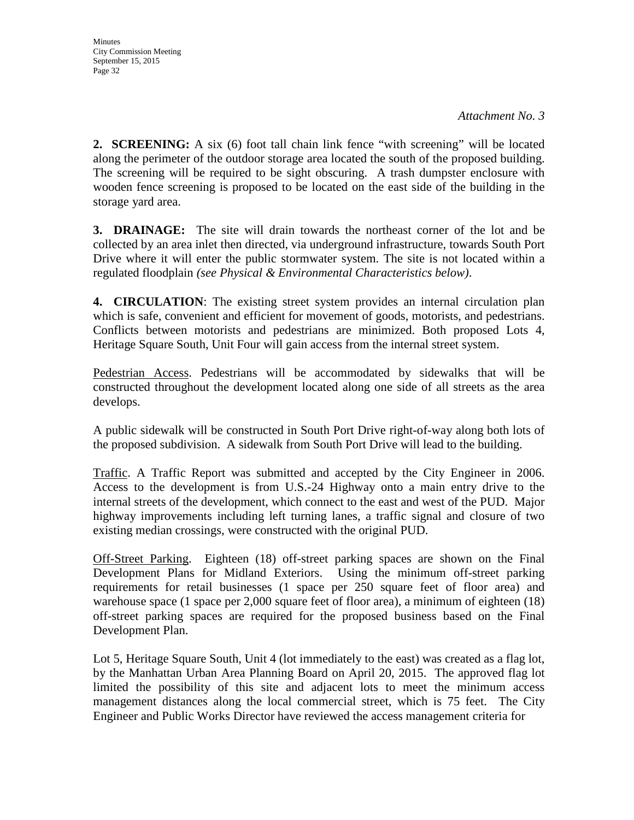**2. SCREENING:** A six (6) foot tall chain link fence "with screening" will be located along the perimeter of the outdoor storage area located the south of the proposed building. The screening will be required to be sight obscuring. A trash dumpster enclosure with wooden fence screening is proposed to be located on the east side of the building in the storage yard area.

**3. DRAINAGE:** The site will drain towards the northeast corner of the lot and be collected by an area inlet then directed, via underground infrastructure, towards South Port Drive where it will enter the public stormwater system. The site is not located within a regulated floodplain *(see Physical & Environmental Characteristics below)*.

**4. CIRCULATION**: The existing street system provides an internal circulation plan which is safe, convenient and efficient for movement of goods, motorists, and pedestrians. Conflicts between motorists and pedestrians are minimized. Both proposed Lots 4, Heritage Square South, Unit Four will gain access from the internal street system.

Pedestrian Access. Pedestrians will be accommodated by sidewalks that will be constructed throughout the development located along one side of all streets as the area develops.

A public sidewalk will be constructed in South Port Drive right-of-way along both lots of the proposed subdivision. A sidewalk from South Port Drive will lead to the building.

Traffic. A Traffic Report was submitted and accepted by the City Engineer in 2006. Access to the development is from U.S.-24 Highway onto a main entry drive to the internal streets of the development, which connect to the east and west of the PUD. Major highway improvements including left turning lanes, a traffic signal and closure of two existing median crossings, were constructed with the original PUD.

Off-Street Parking. Eighteen (18) off-street parking spaces are shown on the Final Development Plans for Midland Exteriors. Using the minimum off-street parking requirements for retail businesses (1 space per 250 square feet of floor area) and warehouse space (1 space per 2,000 square feet of floor area), a minimum of eighteen (18) off-street parking spaces are required for the proposed business based on the Final Development Plan.

Lot 5, Heritage Square South, Unit 4 (lot immediately to the east) was created as a flag lot, by the Manhattan Urban Area Planning Board on April 20, 2015. The approved flag lot limited the possibility of this site and adjacent lots to meet the minimum access management distances along the local commercial street, which is 75 feet. The City Engineer and Public Works Director have reviewed the access management criteria for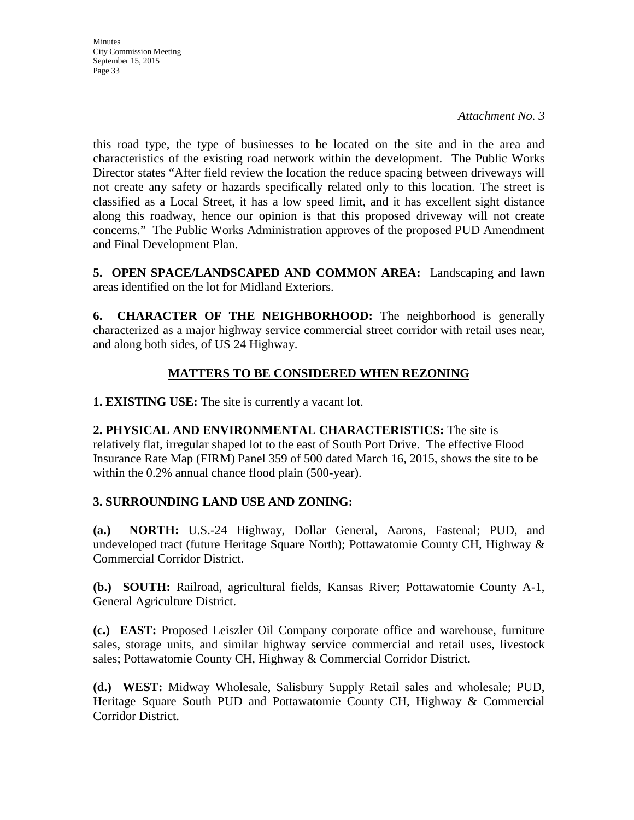**Minutes** City Commission Meeting September 15, 2015 Page 33

this road type, the type of businesses to be located on the site and in the area and characteristics of the existing road network within the development. The Public Works Director states "After field review the location the reduce spacing between driveways will not create any safety or hazards specifically related only to this location. The street is classified as a Local Street, it has a low speed limit, and it has excellent sight distance along this roadway, hence our opinion is that this proposed driveway will not create concerns." The Public Works Administration approves of the proposed PUD Amendment and Final Development Plan.

**5. OPEN SPACE/LANDSCAPED AND COMMON AREA:** Landscaping and lawn areas identified on the lot for Midland Exteriors.

**6. CHARACTER OF THE NEIGHBORHOOD:** The neighborhood is generally characterized as a major highway service commercial street corridor with retail uses near, and along both sides, of US 24 Highway.

## **MATTERS TO BE CONSIDERED WHEN REZONING**

**1. EXISTING USE:** The site is currently a vacant lot.

**2. PHYSICAL AND ENVIRONMENTAL CHARACTERISTICS:** The site is relatively flat, irregular shaped lot to the east of South Port Drive. The effective Flood Insurance Rate Map (FIRM) Panel 359 of 500 dated March 16, 2015, shows the site to be within the 0.2% annual chance flood plain (500-year).

#### **3. SURROUNDING LAND USE AND ZONING:**

**(a.) NORTH:** U.S.-24 Highway, Dollar General, Aarons, Fastenal; PUD, and undeveloped tract (future Heritage Square North); Pottawatomie County CH, Highway & Commercial Corridor District.

**(b.) SOUTH:** Railroad, agricultural fields, Kansas River; Pottawatomie County A-1, General Agriculture District.

**(c.) EAST:** Proposed Leiszler Oil Company corporate office and warehouse, furniture sales, storage units, and similar highway service commercial and retail uses, livestock sales; Pottawatomie County CH, Highway & Commercial Corridor District.

**(d.) WEST:** Midway Wholesale, Salisbury Supply Retail sales and wholesale; PUD, Heritage Square South PUD and Pottawatomie County CH, Highway & Commercial Corridor District.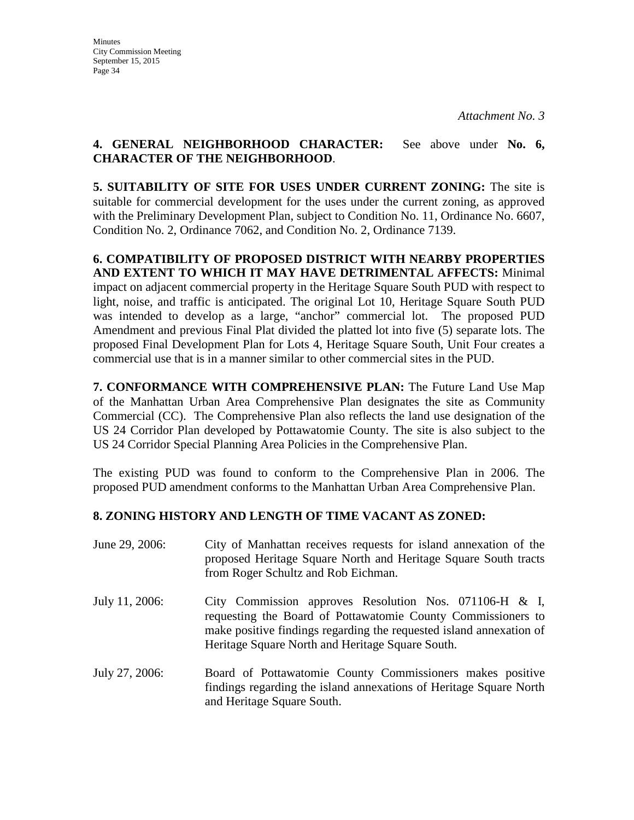#### **4. GENERAL NEIGHBORHOOD CHARACTER:** See above under **No. 6, CHARACTER OF THE NEIGHBORHOOD**.

**5. SUITABILITY OF SITE FOR USES UNDER CURRENT ZONING:** The site is suitable for commercial development for the uses under the current zoning, as approved with the Preliminary Development Plan, subject to Condition No. 11, Ordinance No. 6607, Condition No. 2, Ordinance 7062, and Condition No. 2, Ordinance 7139.

**6. COMPATIBILITY OF PROPOSED DISTRICT WITH NEARBY PROPERTIES AND EXTENT TO WHICH IT MAY HAVE DETRIMENTAL AFFECTS:** Minimal impact on adjacent commercial property in the Heritage Square South PUD with respect to light, noise, and traffic is anticipated. The original Lot 10, Heritage Square South PUD was intended to develop as a large, "anchor" commercial lot. The proposed PUD Amendment and previous Final Plat divided the platted lot into five (5) separate lots. The proposed Final Development Plan for Lots 4, Heritage Square South, Unit Four creates a commercial use that is in a manner similar to other commercial sites in the PUD.

**7. CONFORMANCE WITH COMPREHENSIVE PLAN:** The Future Land Use Map of the Manhattan Urban Area Comprehensive Plan designates the site as Community Commercial (CC). The Comprehensive Plan also reflects the land use designation of the US 24 Corridor Plan developed by Pottawatomie County. The site is also subject to the US 24 Corridor Special Planning Area Policies in the Comprehensive Plan.

The existing PUD was found to conform to the Comprehensive Plan in 2006. The proposed PUD amendment conforms to the Manhattan Urban Area Comprehensive Plan.

## **8. ZONING HISTORY AND LENGTH OF TIME VACANT AS ZONED:**

| June 29, 2006: | City of Manhattan receives requests for island annexation of the<br>proposed Heritage Square North and Heritage Square South tracts<br>from Roger Schultz and Rob Eichman.                                                                           |
|----------------|------------------------------------------------------------------------------------------------------------------------------------------------------------------------------------------------------------------------------------------------------|
| July 11, 2006: | City Commission approves Resolution Nos. 071106-H $\&$ I,<br>requesting the Board of Pottawatomie County Commissioners to<br>make positive findings regarding the requested island annexation of<br>Heritage Square North and Heritage Square South. |
| July 27, 2006: | Board of Pottawatomie County Commissioners makes positive<br>findings regarding the island annexations of Heritage Square North<br>and Heritage Square South.                                                                                        |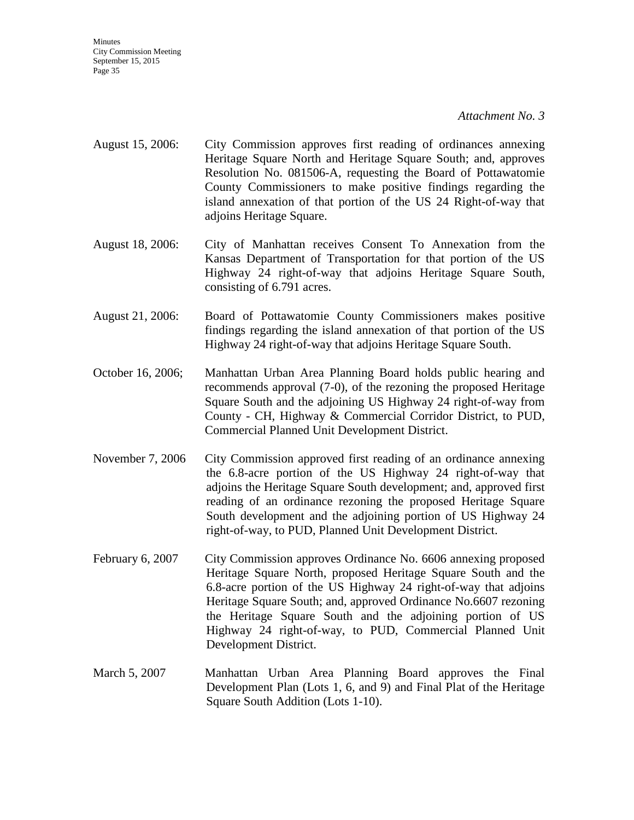**Minutes** City Commission Meeting September 15, 2015 Page 35

#### *Attachment No. 3*

- August 15, 2006: City Commission approves first reading of ordinances annexing Heritage Square North and Heritage Square South; and, approves Resolution No. 081506-A, requesting the Board of Pottawatomie County Commissioners to make positive findings regarding the island annexation of that portion of the US 24 Right-of-way that adjoins Heritage Square.
- August 18, 2006: City of Manhattan receives Consent To Annexation from the Kansas Department of Transportation for that portion of the US Highway 24 right-of-way that adjoins Heritage Square South, consisting of 6.791 acres.
- August 21, 2006: Board of Pottawatomie County Commissioners makes positive findings regarding the island annexation of that portion of the US Highway 24 right-of-way that adjoins Heritage Square South.
- October 16, 2006; Manhattan Urban Area Planning Board holds public hearing and recommends approval (7-0), of the rezoning the proposed Heritage Square South and the adjoining US Highway 24 right-of-way from County - CH, Highway & Commercial Corridor District, to PUD, Commercial Planned Unit Development District.
- November 7, 2006 City Commission approved first reading of an ordinance annexing the 6.8-acre portion of the US Highway 24 right-of-way that adjoins the Heritage Square South development; and, approved first reading of an ordinance rezoning the proposed Heritage Square South development and the adjoining portion of US Highway 24 right-of-way, to PUD, Planned Unit Development District.
- February 6, 2007 City Commission approves Ordinance No. 6606 annexing proposed Heritage Square North, proposed Heritage Square South and the 6.8-acre portion of the US Highway 24 right-of-way that adjoins Heritage Square South; and, approved Ordinance No.6607 rezoning the Heritage Square South and the adjoining portion of US Highway 24 right-of-way, to PUD, Commercial Planned Unit Development District.
- March 5, 2007 Manhattan Urban Area Planning Board approves the Final Development Plan (Lots 1, 6, and 9) and Final Plat of the Heritage Square South Addition (Lots 1-10).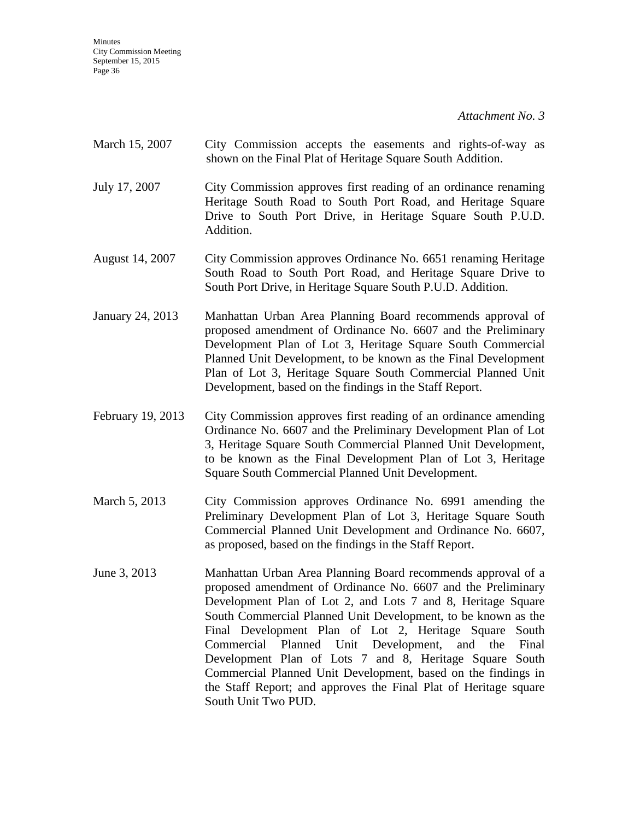- March 15, 2007 City Commission accepts the easements and rights-of-way as shown on the Final Plat of Heritage Square South Addition.
- July 17, 2007 City Commission approves first reading of an ordinance renaming Heritage South Road to South Port Road, and Heritage Square Drive to South Port Drive, in Heritage Square South P.U.D. Addition.
- August 14, 2007 City Commission approves Ordinance No. 6651 renaming Heritage South Road to South Port Road, and Heritage Square Drive to South Port Drive, in Heritage Square South P.U.D. Addition.
- January 24, 2013 Manhattan Urban Area Planning Board recommends approval of proposed amendment of Ordinance No. 6607 and the Preliminary Development Plan of Lot 3, Heritage Square South Commercial Planned Unit Development, to be known as the Final Development Plan of Lot 3, Heritage Square South Commercial Planned Unit Development, based on the findings in the Staff Report.
- February 19, 2013 City Commission approves first reading of an ordinance amending Ordinance No. 6607 and the Preliminary Development Plan of Lot 3, Heritage Square South Commercial Planned Unit Development, to be known as the Final Development Plan of Lot 3, Heritage Square South Commercial Planned Unit Development.
- March 5, 2013 City Commission approves Ordinance No. 6991 amending the Preliminary Development Plan of Lot 3, Heritage Square South Commercial Planned Unit Development and Ordinance No. 6607, as proposed, based on the findings in the Staff Report.
- June 3, 2013 Manhattan Urban Area Planning Board recommends approval of a proposed amendment of Ordinance No. 6607 and the Preliminary Development Plan of Lot 2, and Lots 7 and 8, Heritage Square South Commercial Planned Unit Development, to be known as the Final Development Plan of Lot 2, Heritage Square South Commercial Planned Unit Development, and the Final Development Plan of Lots 7 and 8, Heritage Square South Commercial Planned Unit Development, based on the findings in the Staff Report; and approves the Final Plat of Heritage square South Unit Two PUD.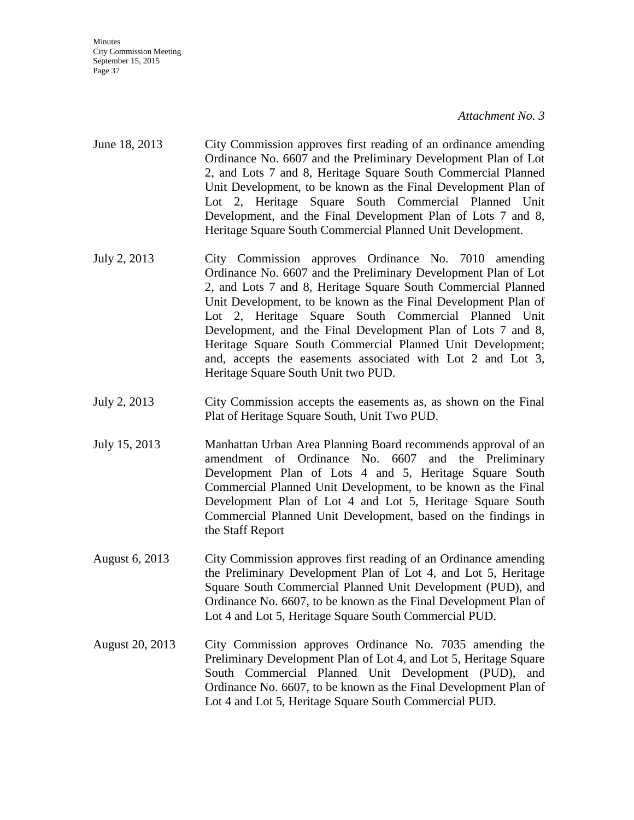Minutes City Commission Meeting September 15, 2015 Page 37

#### *Attachment No. 3*

- June 18, 2013 City Commission approves first reading of an ordinance amending Ordinance No. 6607 and the Preliminary Development Plan of Lot 2, and Lots 7 and 8, Heritage Square South Commercial Planned Unit Development, to be known as the Final Development Plan of Lot 2, Heritage Square South Commercial Planned Unit Development, and the Final Development Plan of Lots 7 and 8, Heritage Square South Commercial Planned Unit Development.
- July 2, 2013 City Commission approves Ordinance No. 7010 amending Ordinance No. 6607 and the Preliminary Development Plan of Lot 2, and Lots 7 and 8, Heritage Square South Commercial Planned Unit Development, to be known as the Final Development Plan of Lot 2, Heritage Square South Commercial Planned Unit Development, and the Final Development Plan of Lots 7 and 8, Heritage Square South Commercial Planned Unit Development; and, accepts the easements associated with Lot 2 and Lot 3, Heritage Square South Unit two PUD.
- July 2, 2013 City Commission accepts the easements as, as shown on the Final Plat of Heritage Square South, Unit Two PUD.
- July 15, 2013 Manhattan Urban Area Planning Board recommends approval of an amendment of Ordinance No. 6607 and the Preliminary Development Plan of Lots 4 and 5, Heritage Square South Commercial Planned Unit Development, to be known as the Final Development Plan of Lot 4 and Lot 5, Heritage Square South Commercial Planned Unit Development, based on the findings in the Staff Report
- August 6, 2013 City Commission approves first reading of an Ordinance amending the Preliminary Development Plan of Lot 4, and Lot 5, Heritage Square South Commercial Planned Unit Development (PUD), and Ordinance No. 6607, to be known as the Final Development Plan of Lot 4 and Lot 5, Heritage Square South Commercial PUD.
- August 20, 2013 City Commission approves Ordinance No. 7035 amending the Preliminary Development Plan of Lot 4, and Lot 5, Heritage Square South Commercial Planned Unit Development (PUD), and Ordinance No. 6607, to be known as the Final Development Plan of Lot 4 and Lot 5, Heritage Square South Commercial PUD.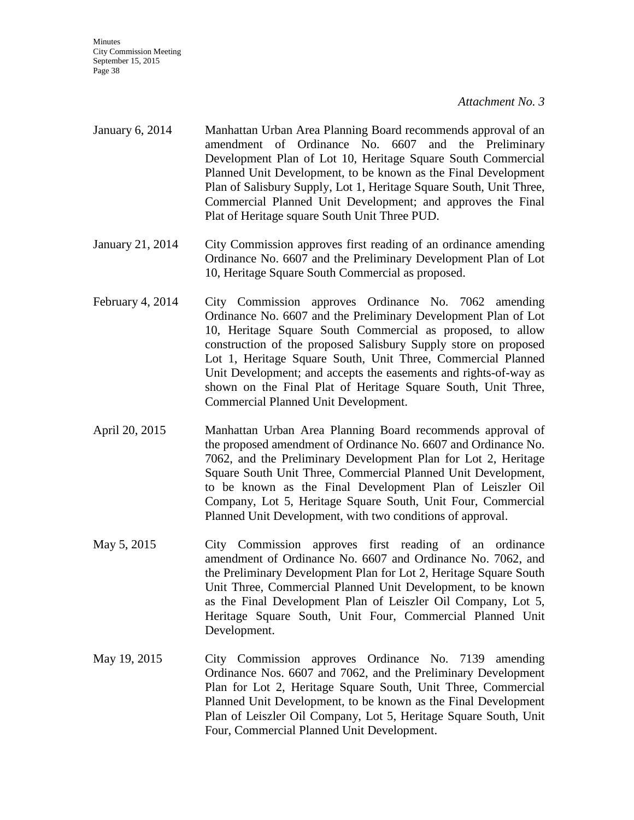- January 6, 2014 Manhattan Urban Area Planning Board recommends approval of an amendment of Ordinance No. 6607 and the Preliminary Development Plan of Lot 10, Heritage Square South Commercial Planned Unit Development, to be known as the Final Development Plan of Salisbury Supply, Lot 1, Heritage Square South, Unit Three, Commercial Planned Unit Development; and approves the Final Plat of Heritage square South Unit Three PUD.
- January 21, 2014 City Commission approves first reading of an ordinance amending Ordinance No. 6607 and the Preliminary Development Plan of Lot 10, Heritage Square South Commercial as proposed.
- February 4, 2014 City Commission approves Ordinance No. 7062 amending Ordinance No. 6607 and the Preliminary Development Plan of Lot 10, Heritage Square South Commercial as proposed, to allow construction of the proposed Salisbury Supply store on proposed Lot 1, Heritage Square South, Unit Three, Commercial Planned Unit Development; and accepts the easements and rights-of-way as shown on the Final Plat of Heritage Square South, Unit Three, Commercial Planned Unit Development.
- April 20, 2015 Manhattan Urban Area Planning Board recommends approval of the proposed amendment of Ordinance No. 6607 and Ordinance No. 7062, and the Preliminary Development Plan for Lot 2, Heritage Square South Unit Three, Commercial Planned Unit Development, to be known as the Final Development Plan of Leiszler Oil Company, Lot 5, Heritage Square South, Unit Four, Commercial Planned Unit Development, with two conditions of approval.
- May 5, 2015 City Commission approves first reading of an ordinance amendment of Ordinance No. 6607 and Ordinance No. 7062, and the Preliminary Development Plan for Lot 2, Heritage Square South Unit Three, Commercial Planned Unit Development, to be known as the Final Development Plan of Leiszler Oil Company, Lot 5, Heritage Square South, Unit Four, Commercial Planned Unit Development.
- May 19, 2015 City Commission approves Ordinance No. 7139 amending Ordinance Nos. 6607 and 7062, and the Preliminary Development Plan for Lot 2, Heritage Square South, Unit Three, Commercial Planned Unit Development, to be known as the Final Development Plan of Leiszler Oil Company, Lot 5, Heritage Square South, Unit Four, Commercial Planned Unit Development.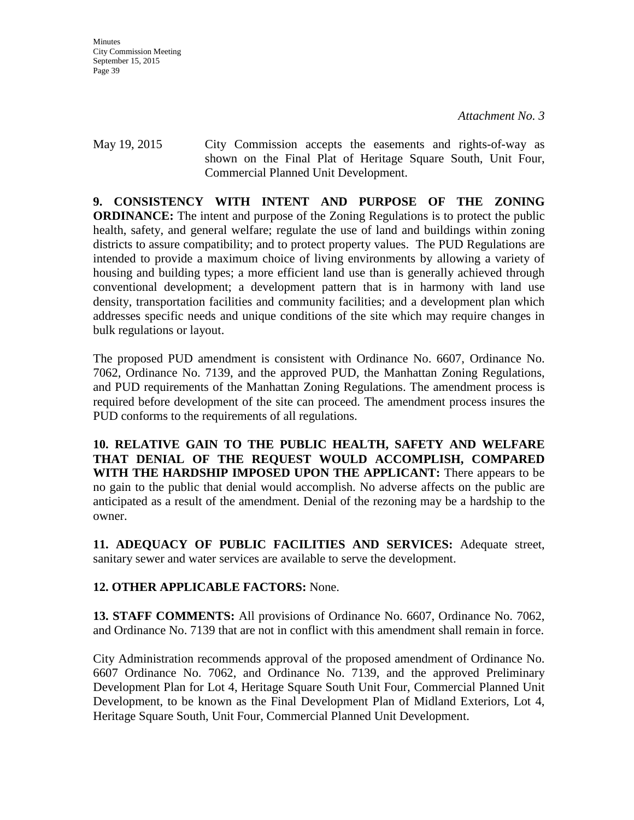May 19, 2015 City Commission accepts the easements and rights-of-way as shown on the Final Plat of Heritage Square South, Unit Four, Commercial Planned Unit Development.

**9. CONSISTENCY WITH INTENT AND PURPOSE OF THE ZONING ORDINANCE:** The intent and purpose of the Zoning Regulations is to protect the public health, safety, and general welfare; regulate the use of land and buildings within zoning districts to assure compatibility; and to protect property values. The PUD Regulations are intended to provide a maximum choice of living environments by allowing a variety of housing and building types; a more efficient land use than is generally achieved through conventional development; a development pattern that is in harmony with land use density, transportation facilities and community facilities; and a development plan which addresses specific needs and unique conditions of the site which may require changes in bulk regulations or layout.

The proposed PUD amendment is consistent with Ordinance No. 6607, Ordinance No. 7062, Ordinance No. 7139, and the approved PUD, the Manhattan Zoning Regulations, and PUD requirements of the Manhattan Zoning Regulations. The amendment process is required before development of the site can proceed. The amendment process insures the PUD conforms to the requirements of all regulations.

**10. RELATIVE GAIN TO THE PUBLIC HEALTH, SAFETY AND WELFARE THAT DENIAL OF THE REQUEST WOULD ACCOMPLISH, COMPARED WITH THE HARDSHIP IMPOSED UPON THE APPLICANT:** There appears to be no gain to the public that denial would accomplish. No adverse affects on the public are anticipated as a result of the amendment. Denial of the rezoning may be a hardship to the owner.

**11. ADEQUACY OF PUBLIC FACILITIES AND SERVICES:** Adequate street, sanitary sewer and water services are available to serve the development.

## **12. OTHER APPLICABLE FACTORS:** None.

**13. STAFF COMMENTS:** All provisions of Ordinance No. 6607, Ordinance No. 7062, and Ordinance No. 7139 that are not in conflict with this amendment shall remain in force.

City Administration recommends approval of the proposed amendment of Ordinance No. 6607 Ordinance No. 7062, and Ordinance No. 7139, and the approved Preliminary Development Plan for Lot 4, Heritage Square South Unit Four, Commercial Planned Unit Development, to be known as the Final Development Plan of Midland Exteriors, Lot 4, Heritage Square South, Unit Four, Commercial Planned Unit Development.